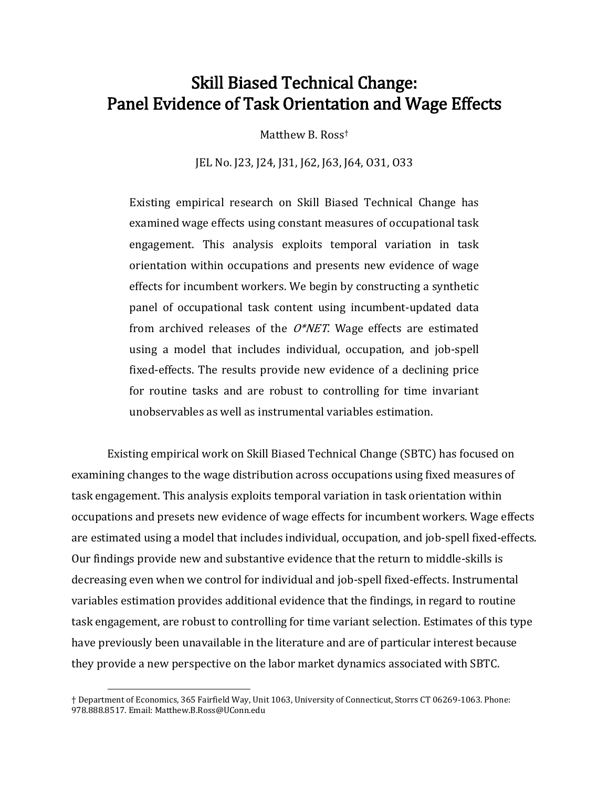# Skill Biased Technical Change: Panel Evidence of Task Orientation and Wage Effects

Matthew B. Ross†

JEL No. J23, J24, J31, J62, J63, J64, O31, O33

Existing empirical research on Skill Biased Technical Change has examined wage effects using constant measures of occupational task engagement. This analysis exploits temporal variation in task orientation within occupations and presents new evidence of wage effects for incumbent workers. We begin by constructing a synthetic panel of occupational task content using incumbent-updated data from archived releases of the  $O^*NET$ . Wage effects are estimated using a model that includes individual, occupation, and job-spell fixed-effects. The results provide new evidence of a declining price for routine tasks and are robust to controlling for time invariant unobservables as well as instrumental variables estimation.

Existing empirical work on Skill Biased Technical Change (SBTC) has focused on examining changes to the wage distribution across occupations using fixed measures of task engagement. This analysis exploits temporal variation in task orientation within occupations and presets new evidence of wage effects for incumbent workers. Wage effects are estimated using a model that includes individual, occupation, and job-spell fixed-effects. Our findings provide new and substantive evidence that the return to middle-skills is decreasing even when we control for individual and job-spell fixed-effects. Instrumental variables estimation provides additional evidence that the findings, in regard to routine task engagement, are robust to controlling for time variant selection. Estimates of this type have previously been unavailable in the literature and are of particular interest because they provide a new perspective on the labor market dynamics associated with SBTC.

l

<sup>†</sup> Department of Economics, 365 Fairfield Way, Unit 1063, University of Connecticut, Storrs CT 06269-1063. Phone: 978.888.8517. Email: Matthew.B.Ross@UConn.edu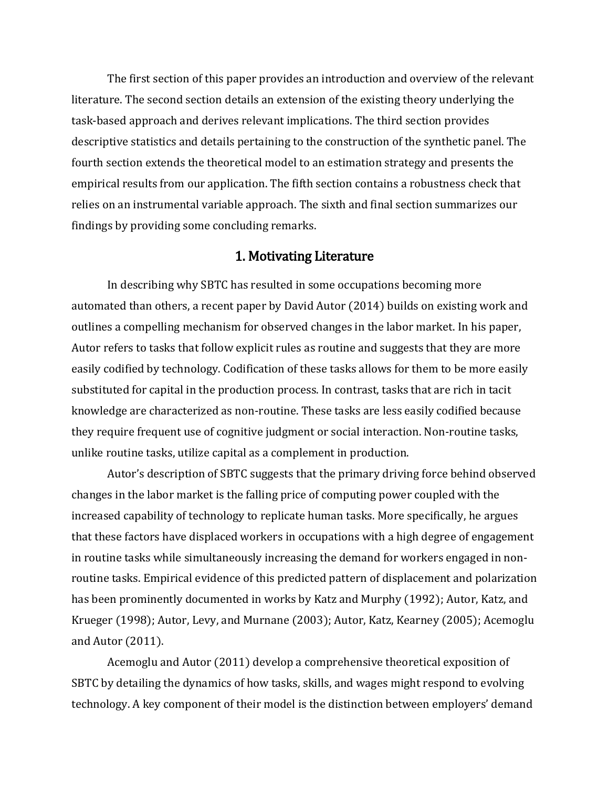The first section of this paper provides an introduction and overview of the relevant literature. The second section details an extension of the existing theory underlying the task-based approach and derives relevant implications. The third section provides descriptive statistics and details pertaining to the construction of the synthetic panel. The fourth section extends the theoretical model to an estimation strategy and presents the empirical results from our application. The fifth section contains a robustness check that relies on an instrumental variable approach. The sixth and final section summarizes our findings by providing some concluding remarks.

# 1. Motivating Literature

In describing why SBTC has resulted in some occupations becoming more automated than others, a recent paper by David Autor (2014) builds on existing work and outlines a compelling mechanism for observed changes in the labor market. In his paper, Autor refers to tasks that follow explicit rules as routine and suggests that they are more easily codified by technology. Codification of these tasks allows for them to be more easily substituted for capital in the production process. In contrast, tasks that are rich in tacit knowledge are characterized as non-routine. These tasks are less easily codified because they require frequent use of cognitive judgment or social interaction. Non-routine tasks, unlike routine tasks, utilize capital as a complement in production.

Autor's description of SBTC suggests that the primary driving force behind observed changes in the labor market is the falling price of computing power coupled with the increased capability of technology to replicate human tasks. More specifically, he argues that these factors have displaced workers in occupations with a high degree of engagement in routine tasks while simultaneously increasing the demand for workers engaged in nonroutine tasks. Empirical evidence of this predicted pattern of displacement and polarization has been prominently documented in works by Katz and Murphy (1992); Autor, Katz, and Krueger (1998); Autor, Levy, and Murnane (2003); Autor, Katz, Kearney (2005); Acemoglu and Autor (2011).

Acemoglu and Autor (2011) develop a comprehensive theoretical exposition of SBTC by detailing the dynamics of how tasks, skills, and wages might respond to evolving technology. A key component of their model is the distinction between employers' demand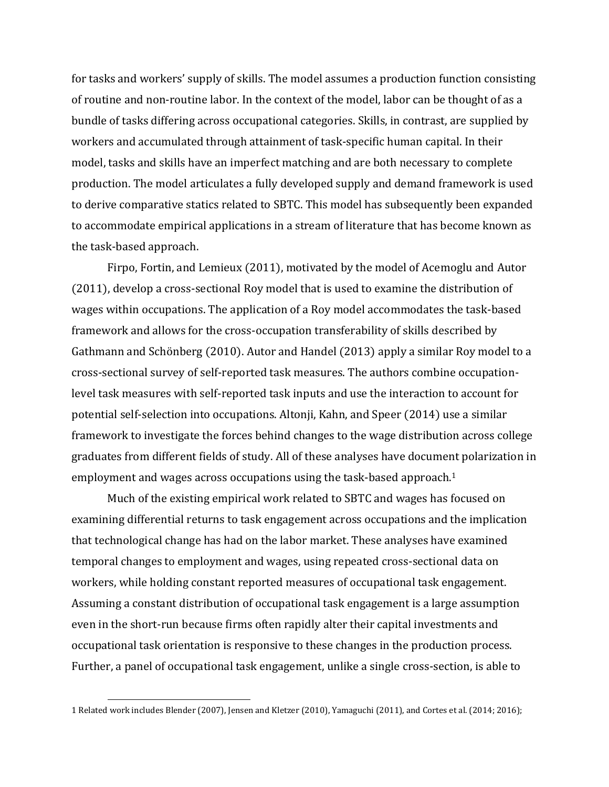for tasks and workers' supply of skills. The model assumes a production function consisting of routine and non-routine labor. In the context of the model, labor can be thought of as a bundle of tasks differing across occupational categories. Skills, in contrast, are supplied by workers and accumulated through attainment of task-specific human capital. In their model, tasks and skills have an imperfect matching and are both necessary to complete production. The model articulates a fully developed supply and demand framework is used to derive comparative statics related to SBTC. This model has subsequently been expanded to accommodate empirical applications in a stream of literature that has become known as the task-based approach.

Firpo, Fortin, and Lemieux (2011), motivated by the model of Acemoglu and Autor (2011), develop a cross-sectional Roy model that is used to examine the distribution of wages within occupations. The application of a Roy model accommodates the task-based framework and allows for the cross-occupation transferability of skills described by Gathmann and Schönberg (2010). Autor and Handel (2013) apply a similar Roy model to a cross-sectional survey of self-reported task measures. The authors combine occupationlevel task measures with self-reported task inputs and use the interaction to account for potential self-selection into occupations. Altonji, Kahn, and Speer (2014) use a similar framework to investigate the forces behind changes to the wage distribution across college graduates from different fields of study. All of these analyses have document polarization in employment and wages across occupations using the task-based approach.<sup>1</sup>

Much of the existing empirical work related to SBTC and wages has focused on examining differential returns to task engagement across occupations and the implication that technological change has had on the labor market. These analyses have examined temporal changes to employment and wages, using repeated cross-sectional data on workers, while holding constant reported measures of occupational task engagement. Assuming a constant distribution of occupational task engagement is a large assumption even in the short-run because firms often rapidly alter their capital investments and occupational task orientation is responsive to these changes in the production process. Further, a panel of occupational task engagement, unlike a single cross-section, is able to

 $\overline{a}$ 

<sup>1</sup> Related work includes Blender (2007), Jensen and Kletzer (2010), Yamaguchi (2011), and Cortes et al. (2014; 2016);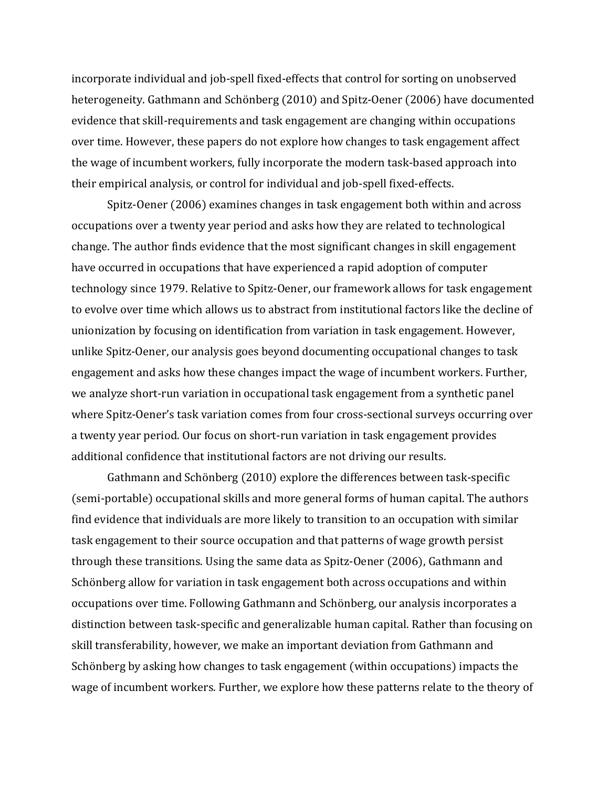incorporate individual and job-spell fixed-effects that control for sorting on unobserved heterogeneity. Gathmann and Schönberg (2010) and Spitz-Oener (2006) have documented evidence that skill-requirements and task engagement are changing within occupations over time. However, these papers do not explore how changes to task engagement affect the wage of incumbent workers, fully incorporate the modern task-based approach into their empirical analysis, or control for individual and job-spell fixed-effects.

Spitz-Oener (2006) examines changes in task engagement both within and across occupations over a twenty year period and asks how they are related to technological change. The author finds evidence that the most significant changes in skill engagement have occurred in occupations that have experienced a rapid adoption of computer technology since 1979. Relative to Spitz-Oener, our framework allows for task engagement to evolve over time which allows us to abstract from institutional factors like the decline of unionization by focusing on identification from variation in task engagement. However, unlike Spitz-Oener, our analysis goes beyond documenting occupational changes to task engagement and asks how these changes impact the wage of incumbent workers. Further, we analyze short-run variation in occupational task engagement from a synthetic panel where Spitz-Oener's task variation comes from four cross-sectional surveys occurring over a twenty year period. Our focus on short-run variation in task engagement provides additional confidence that institutional factors are not driving our results.

Gathmann and Schönberg (2010) explore the differences between task-specific (semi-portable) occupational skills and more general forms of human capital. The authors find evidence that individuals are more likely to transition to an occupation with similar task engagement to their source occupation and that patterns of wage growth persist through these transitions. Using the same data as Spitz-Oener (2006), Gathmann and Schönberg allow for variation in task engagement both across occupations and within occupations over time. Following Gathmann and Schönberg, our analysis incorporates a distinction between task-specific and generalizable human capital. Rather than focusing on skill transferability, however, we make an important deviation from Gathmann and Schönberg by asking how changes to task engagement (within occupations) impacts the wage of incumbent workers. Further, we explore how these patterns relate to the theory of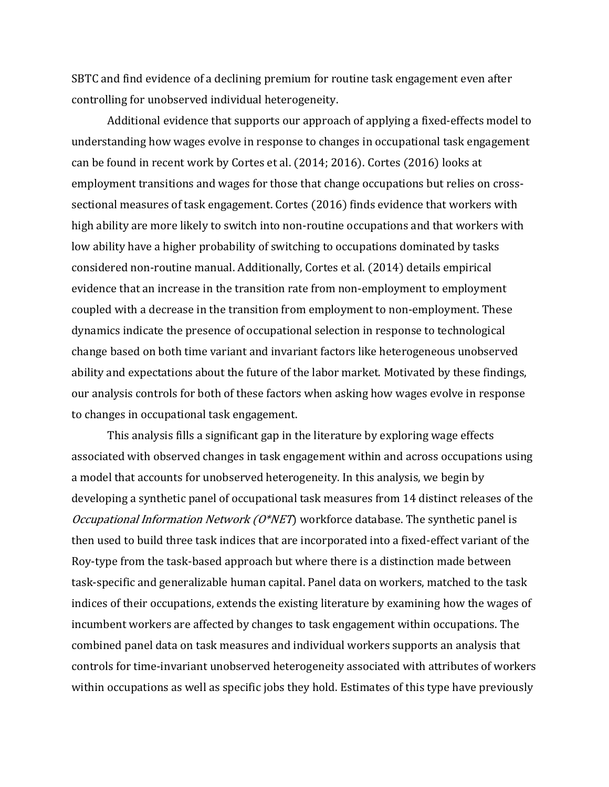SBTC and find evidence of a declining premium for routine task engagement even after controlling for unobserved individual heterogeneity.

Additional evidence that supports our approach of applying a fixed-effects model to understanding how wages evolve in response to changes in occupational task engagement can be found in recent work by Cortes et al. (2014; 2016). Cortes (2016) looks at employment transitions and wages for those that change occupations but relies on crosssectional measures of task engagement. Cortes (2016) finds evidence that workers with high ability are more likely to switch into non-routine occupations and that workers with low ability have a higher probability of switching to occupations dominated by tasks considered non-routine manual. Additionally, Cortes et al. (2014) details empirical evidence that an increase in the transition rate from non-employment to employment coupled with a decrease in the transition from employment to non-employment. These dynamics indicate the presence of occupational selection in response to technological change based on both time variant and invariant factors like heterogeneous unobserved ability and expectations about the future of the labor market. Motivated by these findings, our analysis controls for both of these factors when asking how wages evolve in response to changes in occupational task engagement.

This analysis fills a significant gap in the literature by exploring wage effects associated with observed changes in task engagement within and across occupations using a model that accounts for unobserved heterogeneity. In this analysis, we begin by developing a synthetic panel of occupational task measures from 14 distinct releases of the Occupational Information Network ( $O*NET$ ) workforce database. The synthetic panel is then used to build three task indices that are incorporated into a fixed-effect variant of the Roy-type from the task-based approach but where there is a distinction made between task-specific and generalizable human capital. Panel data on workers, matched to the task indices of their occupations, extends the existing literature by examining how the wages of incumbent workers are affected by changes to task engagement within occupations. The combined panel data on task measures and individual workers supports an analysis that controls for time-invariant unobserved heterogeneity associated with attributes of workers within occupations as well as specific jobs they hold. Estimates of this type have previously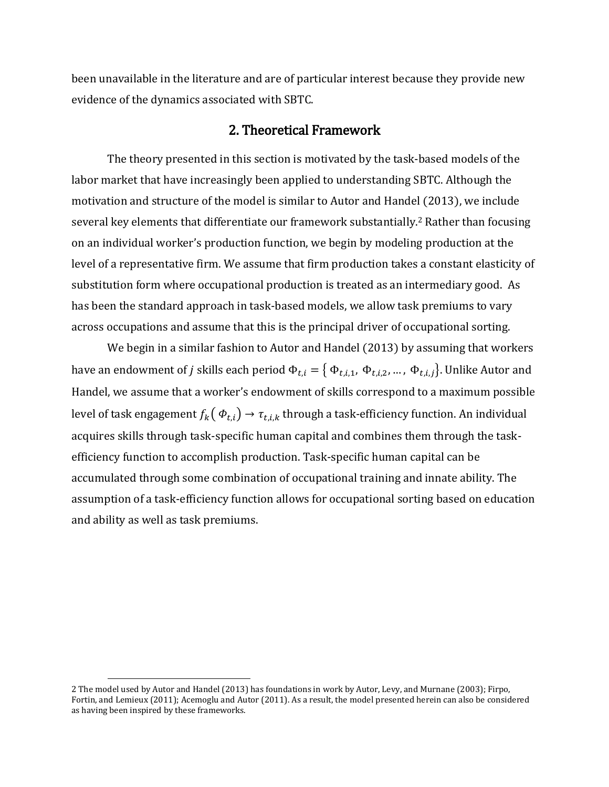been unavailable in the literature and are of particular interest because they provide new evidence of the dynamics associated with SBTC.

#### 2. Theoretical Framework

The theory presented in this section is motivated by the task-based models of the labor market that have increasingly been applied to understanding SBTC. Although the motivation and structure of the model is similar to Autor and Handel (2013), we include several key elements that differentiate our framework substantially. <sup>2</sup> Rather than focusing on an individual worker's production function, we begin by modeling production at the level of a representative firm. We assume that firm production takes a constant elasticity of substitution form where occupational production is treated as an intermediary good. As has been the standard approach in task-based models, we allow task premiums to vary across occupations and assume that this is the principal driver of occupational sorting.

We begin in a similar fashion to Autor and Handel (2013) by assuming that workers have an endowment of  $j$  skills each period  $\Phi_{t,i}=\big\{\Phi_{t,i,1},\,\Phi_{t,i,2},...$  ,  $\Phi_{t,i,j}\big\}$ . Unlike Autor and Handel, we assume that a worker's endowment of skills correspond to a maximum possible level of task engagement  $f_k(\phi_{t,i}) \rightarrow \tau_{t,i,k}$  through a task-efficiency function. An individual acquires skills through task-specific human capital and combines them through the taskefficiency function to accomplish production. Task-specific human capital can be accumulated through some combination of occupational training and innate ability. The assumption of a task-efficiency function allows for occupational sorting based on education and ability as well as task premiums.

l

<sup>2</sup> The model used by Autor and Handel (2013) has foundations in work by Autor, Levy, and Murnane (2003); Firpo, Fortin, and Lemieux (2011); Acemoglu and Autor (2011). As a result, the model presented herein can also be considered as having been inspired by these frameworks.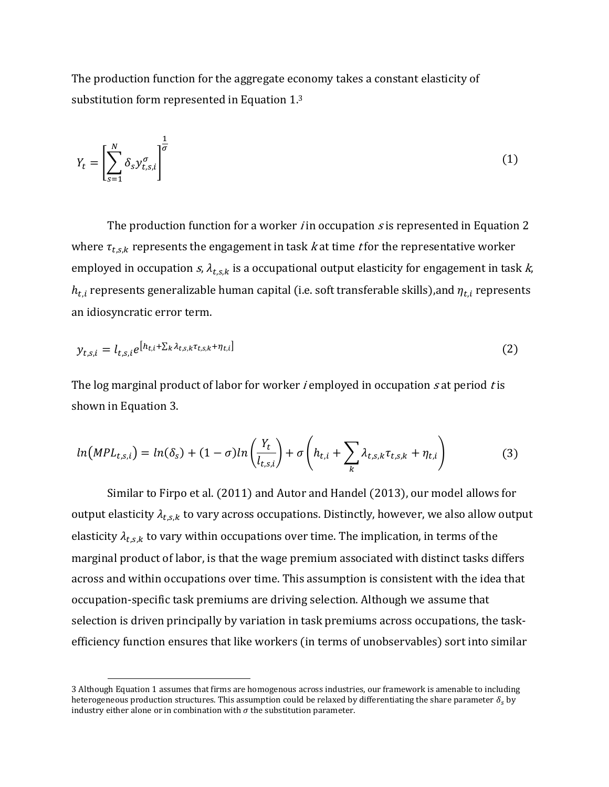The production function for the aggregate economy takes a constant elasticity of substitution form represented in Equation 1. 3

$$
Y_t = \left[\sum_{s=1}^N \delta_s y_{t,s,i}^\sigma\right]^{\frac{1}{\sigma}}
$$
 (1)

The production function for a worker *i* in occupation *s* is represented in Equation 2 where  $\tau_{t,s,k}$  represents the engagement in task k at time t for the representative worker employed in occupation  $s$ ,  $\lambda_{t,s,k}$  is a occupational output elasticity for engagement in task  $k$ ,  $h_{t,i}$  represents generalizable human capital (i.e. soft transferable skills), and  $\eta_{t,i}$  represents an idiosyncratic error term.

$$
y_{t,s,i} = l_{t,s,i} e^{\left[h_{t,i} + \sum_{k} \lambda_{t,s,k} \tau_{t,s,k} + \eta_{t,i}\right]}
$$
 (2)

The log marginal product of labor for worker *i* employed in occupation  $s$  at period  $t$  is shown in Equation 3.

$$
ln(MPL_{t,s,i}) = ln(\delta_s) + (1 - \sigma)ln\left(\frac{Y_t}{l_{t,s,i}}\right) + \sigma\left(h_{t,i} + \sum_k \lambda_{t,s,k} \tau_{t,s,k} + \eta_{t,i}\right)
$$
(3)

Similar to Firpo et al. (2011) and Autor and Handel (2013), our model allows for output elasticity  $\lambda_{t,s,k}$  to vary across occupations. Distinctly, however, we also allow output elasticity  $\lambda_{t,s,k}$  to vary within occupations over time. The implication, in terms of the marginal product of labor, is that the wage premium associated with distinct tasks differs across and within occupations over time. This assumption is consistent with the idea that occupation-specific task premiums are driving selection. Although we assume that selection is driven principally by variation in task premiums across occupations, the taskefficiency function ensures that like workers (in terms of unobservables) sort into similar

l

<sup>3</sup> Although Equation 1 assumes that firms are homogenous across industries, our framework is amenable to including heterogeneous production structures. This assumption could be relaxed by differentiating the share parameter  $\delta_s$  by industry either alone or in combination with  $\sigma$  the substitution parameter.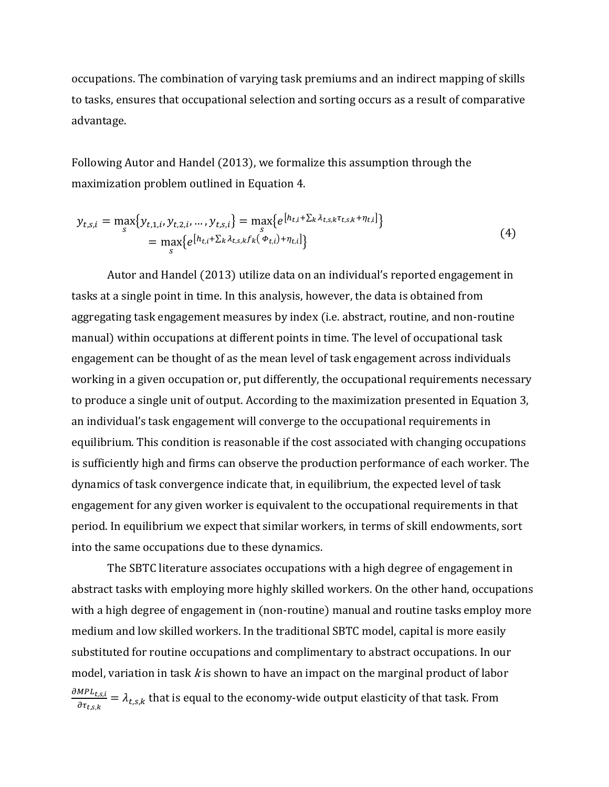occupations. The combination of varying task premiums and an indirect mapping of skills to tasks, ensures that occupational selection and sorting occurs as a result of comparative advantage.

Following Autor and Handel (2013), we formalize this assumption through the maximization problem outlined in Equation 4.

$$
y_{t,s,i} = \max_{s} \{ y_{t,1,i}, y_{t,2,i}, ..., y_{t,s,i} \} = \max_{s} \{ e^{\left[ h_{t,i} + \sum_{k} \lambda_{t,s,k} \tau_{t,s,k} + \eta_{t,i} \right]} \}
$$
  
= 
$$
\max_{s} \{ e^{\left[ h_{t,i} + \sum_{k} \lambda_{t,s,k} f_k(\Phi_{t,i}) + \eta_{t,i} \right]} \}
$$
 (4)

Autor and Handel (2013) utilize data on an individual's reported engagement in tasks at a single point in time. In this analysis, however, the data is obtained from aggregating task engagement measures by index (i.e. abstract, routine, and non-routine manual) within occupations at different points in time. The level of occupational task engagement can be thought of as the mean level of task engagement across individuals working in a given occupation or, put differently, the occupational requirements necessary to produce a single unit of output. According to the maximization presented in Equation 3, an individual's task engagement will converge to the occupational requirements in equilibrium. This condition is reasonable if the cost associated with changing occupations is sufficiently high and firms can observe the production performance of each worker. The dynamics of task convergence indicate that, in equilibrium, the expected level of task engagement for any given worker is equivalent to the occupational requirements in that period. In equilibrium we expect that similar workers, in terms of skill endowments, sort into the same occupations due to these dynamics.

The SBTC literature associates occupations with a high degree of engagement in abstract tasks with employing more highly skilled workers. On the other hand, occupations with a high degree of engagement in (non-routine) manual and routine tasks employ more medium and low skilled workers. In the traditional SBTC model, capital is more easily substituted for routine occupations and complimentary to abstract occupations. In our model, variation in task  $k$  is shown to have an impact on the marginal product of labor  $\partial MPL_{t,s,i}$  $\frac{m_{F}}{m_{t,s,k}} = \lambda_{t,s,k}$  that is equal to the economy-wide output elasticity of that task. From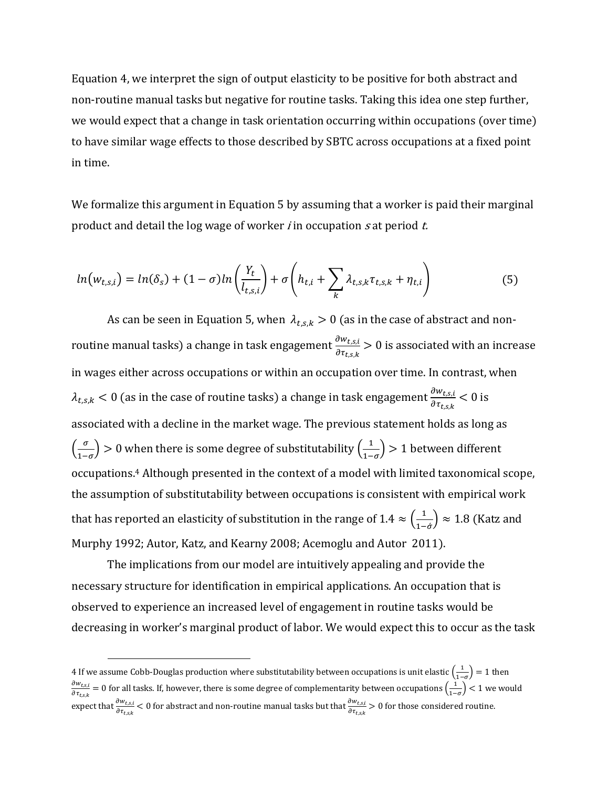Equation 4, we interpret the sign of output elasticity to be positive for both abstract and non-routine manual tasks but negative for routine tasks. Taking this idea one step further, we would expect that a change in task orientation occurring within occupations (over time) to have similar wage effects to those described by SBTC across occupations at a fixed point in time.

We formalize this argument in Equation 5 by assuming that a worker is paid their marginal product and detail the log wage of worker *i* in occupation s at period  $t$ .

$$
ln(w_{t,s,i}) = ln(\delta_s) + (1 - \sigma)ln\left(\frac{Y_t}{l_{t,s,i}}\right) + \sigma\left(h_{t,i} + \sum_k \lambda_{t,s,k} \tau_{t,s,k} + \eta_{t,i}\right)
$$
(5)

As can be seen in Equation 5, when  $\lambda_{t,s,k} > 0$  (as in the case of abstract and nonroutine manual tasks) a change in task engagement  $\frac{\partial w_{t,s,i}}{\partial \tau_{t,s,k}}$  > 0 is associated with an increase in wages either across occupations or within an occupation over time. In contrast, when  $\lambda_{t,s,k} < 0$  (as in the case of routine tasks) a change in task engagement  $\frac{\partial w_{t,s,i}}{\partial \tau_{t,s,k}} < 0$  is associated with a decline in the market wage. The previous statement holds as long as  $\left(\frac{\sigma}{\sigma}\right)$  $\left(\frac{\sigma}{1-\sigma}\right) > 0$  when there is some degree of substitutability  $\left(\frac{1}{1-\sigma}\right)$  $\frac{1}{1-\sigma}$ ) > 1 between different occupations.<sup>4</sup> Although presented in the context of a model with limited taxonomical scope, the assumption of substitutability between occupations is consistent with empirical work that has reported an elasticity of substitution in the range of 1.4  $\approx(\frac{1}{2})$  $\left(\frac{1}{1-\sigma}\right) \approx 1.8$  (Katz and Murphy 1992; Autor, Katz, and Kearny 2008; Acemoglu and Autor 2011).

The implications from our model are intuitively appealing and provide the necessary structure for identification in empirical applications. An occupation that is observed to experience an increased level of engagement in routine tasks would be decreasing in worker's marginal product of labor. We would expect this to occur as the task

 $\overline{a}$ 

<sup>4</sup> If we assume Cobb-Douglas production where substitutability between occupations is unit elastic  $\left( \frac{1}{2} \right)$  $\frac{1}{1-\sigma}$  = 1 then  $\partial w_{t,s,i}$  $\frac{\partial w_{t,s,i}}{\partial \tau_{t,s,k}}=0$  for all tasks. If, however, there is some degree of complementarity between occupations  $\Big(\frac{1}{1-\epsilon}\Big)^2$  $\left(\frac{1}{1-\sigma}\right)$  < 1 we would expect that  $\frac{\partial w_{t,s,i}}{\partial \tau_{t,s,k}}$   $<$  0 for abstract and non-routine manual tasks but that  $\frac{\partial w_{t,s,i}}{\partial \tau_{t,s,k}}$   $>$  0 for those considered routine.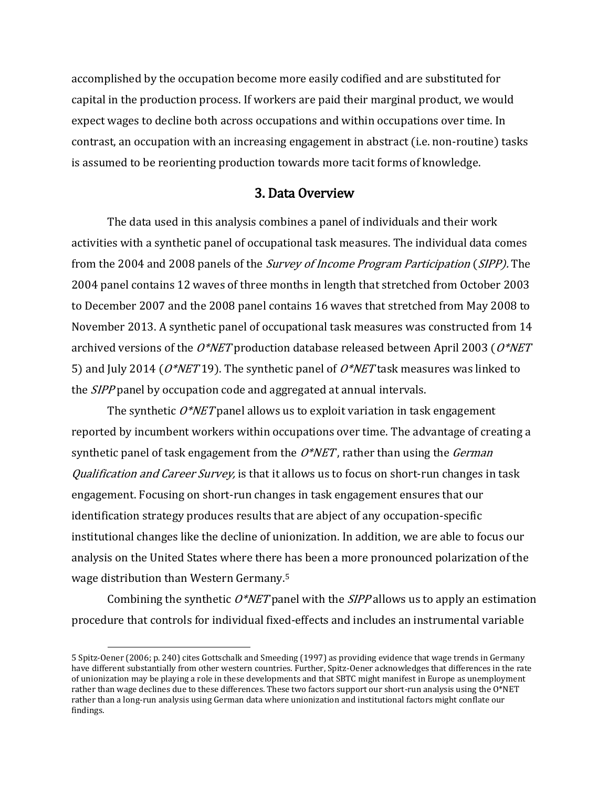accomplished by the occupation become more easily codified and are substituted for capital in the production process. If workers are paid their marginal product, we would expect wages to decline both across occupations and within occupations over time. In contrast, an occupation with an increasing engagement in abstract (i.e. non-routine) tasks is assumed to be reorienting production towards more tacit forms of knowledge.

## 3. Data Overview

The data used in this analysis combines a panel of individuals and their work activities with a synthetic panel of occupational task measures. The individual data comes from the 2004 and 2008 panels of the *Survey of Income Program Participation (SIPP)*. The 2004 panel contains 12 waves of three months in length that stretched from October 2003 to December 2007 and the 2008 panel contains 16 waves that stretched from May 2008 to November 2013. A synthetic panel of occupational task measures was constructed from 14 archived versions of the  $O^*NET$  production database released between April 2003 ( $O^*NET$ 5) and July 2014 ( $O^*NET19$ ). The synthetic panel of  $O^*NET$  task measures was linked to the SIPP panel by occupation code and aggregated at annual intervals.

The synthetic  $O^*NET$  panel allows us to exploit variation in task engagement reported by incumbent workers within occupations over time. The advantage of creating a synthetic panel of task engagement from the  $O*NET$ , rather than using the *German Qualification and Career Survey*, is that it allows us to focus on short-run changes in task engagement. Focusing on short-run changes in task engagement ensures that our identification strategy produces results that are abject of any occupation-specific institutional changes like the decline of unionization. In addition, we are able to focus our analysis on the United States where there has been a more pronounced polarization of the wage distribution than Western Germany.<sup>5</sup>

Combining the synthetic  $O^*NET$  panel with the *SIPP* allows us to apply an estimation procedure that controls for individual fixed-effects and includes an instrumental variable

 $\overline{a}$ 

<sup>5</sup> Spitz-Oener (2006; p. 240) cites Gottschalk and Smeeding (1997) as providing evidence that wage trends in Germany have different substantially from other western countries. Further, Spitz-Oener acknowledges that differences in the rate of unionization may be playing a role in these developments and that SBTC might manifest in Europe as unemployment rather than wage declines due to these differences. These two factors support our short-run analysis using the O\*NET rather than a long-run analysis using German data where unionization and institutional factors might conflate our findings.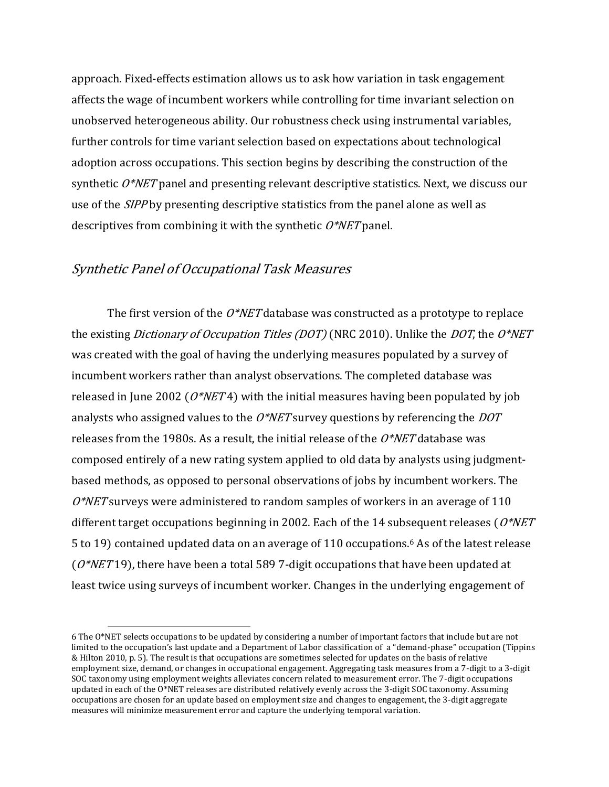approach. Fixed-effects estimation allows us to ask how variation in task engagement affects the wage of incumbent workers while controlling for time invariant selection on unobserved heterogeneous ability. Our robustness check using instrumental variables, further controls for time variant selection based on expectations about technological adoption across occupations. This section begins by describing the construction of the synthetic  $O^*NET$  panel and presenting relevant descriptive statistics. Next, we discuss our use of the *SIPP* by presenting descriptive statistics from the panel alone as well as descriptives from combining it with the synthetic  $O^*NET$  panel.

# Synthetic Panel of Occupational Task Measures

 $\overline{a}$ 

The first version of the  $O^*NET$  database was constructed as a prototype to replace the existing *Dictionary of Occupation Titles (DOT)* (NRC 2010). Unlike the *DOT*, the  $O^*NET$ was created with the goal of having the underlying measures populated by a survey of incumbent workers rather than analyst observations. The completed database was released in June 2002 ( $O^*NET4$ ) with the initial measures having been populated by job analysts who assigned values to the  $O^*NET$  survey questions by referencing the  $DOT$ releases from the 1980s. As a result, the initial release of the  $O*NET$  database was composed entirely of a new rating system applied to old data by analysts using judgmentbased methods, as opposed to personal observations of jobs by incumbent workers. The  $O^*NET$  surveys were administered to random samples of workers in an average of 110 different target occupations beginning in 2002. Each of the 14 subsequent releases ( $O^*NET$ 5 to 19) contained updated data on an average of 110 occupations.<sup>6</sup> As of the latest release ( $O^*NET19$ ), there have been a total 589 7-digit occupations that have been updated at least twice using surveys of incumbent worker. Changes in the underlying engagement of

<sup>6</sup> The O\*NET selects occupations to be updated by considering a number of important factors that include but are not limited to the occupation's last update and a Department of Labor classification of a "demand-phase" occupation (Tippins & Hilton 2010, p. 5). The result is that occupations are sometimes selected for updates on the basis of relative employment size, demand, or changes in occupational engagement. Aggregating task measures from a 7-digit to a 3-digit SOC taxonomy using employment weights alleviates concern related to measurement error. The 7-digit occupations updated in each of the O\*NET releases are distributed relatively evenly across the 3-digit SOC taxonomy. Assuming occupations are chosen for an update based on employment size and changes to engagement, the 3-digit aggregate measures will minimize measurement error and capture the underlying temporal variation.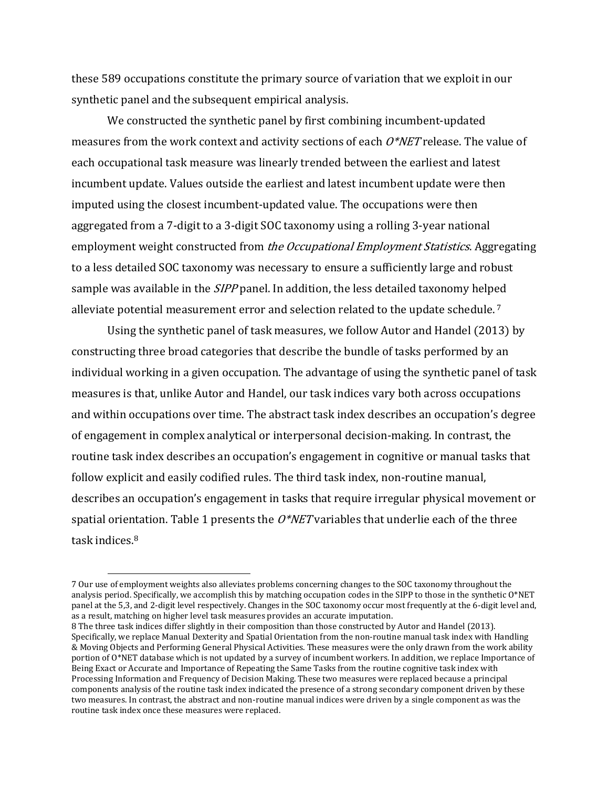these 589 occupations constitute the primary source of variation that we exploit in our synthetic panel and the subsequent empirical analysis.

We constructed the synthetic panel by first combining incumbent-updated measures from the work context and activity sections of each  $O^*NET$  release. The value of each occupational task measure was linearly trended between the earliest and latest incumbent update. Values outside the earliest and latest incumbent update were then imputed using the closest incumbent-updated value. The occupations were then aggregated from a 7-digit to a 3-digit SOC taxonomy using a rolling 3-year national employment weight constructed from *the Occupational Employment Statistics*. Aggregating to a less detailed SOC taxonomy was necessary to ensure a sufficiently large and robust sample was available in the *SIPP* panel. In addition, the less detailed taxonomy helped alleviate potential measurement error and selection related to the update schedule. <sup>7</sup>

Using the synthetic panel of task measures, we follow Autor and Handel (2013) by constructing three broad categories that describe the bundle of tasks performed by an individual working in a given occupation. The advantage of using the synthetic panel of task measures is that, unlike Autor and Handel, our task indices vary both across occupations and within occupations over time. The abstract task index describes an occupation's degree of engagement in complex analytical or interpersonal decision-making. In contrast, the routine task index describes an occupation's engagement in cognitive or manual tasks that follow explicit and easily codified rules. The third task index, non-routine manual, describes an occupation's engagement in tasks that require irregular physical movement or spatial orientation. Table 1 presents the  $O^*NET$  variables that underlie each of the three task indices.<sup>8</sup>

 $\overline{a}$ 

<sup>7</sup> Our use of employment weights also alleviates problems concerning changes to the SOC taxonomy throughout the analysis period. Specifically, we accomplish this by matching occupation codes in the SIPP to those in the synthetic O\*NET panel at the 5,3, and 2-digit level respectively. Changes in the SOC taxonomy occur most frequently at the 6-digit level and, as a result, matching on higher level task measures provides an accurate imputation.

<sup>8</sup> The three task indices differ slightly in their composition than those constructed by Autor and Handel (2013). Specifically, we replace Manual Dexterity and Spatial Orientation from the non-routine manual task index with Handling & Moving Objects and Performing General Physical Activities. These measures were the only drawn from the work ability portion of O\*NET database which is not updated by a survey of incumbent workers. In addition, we replace Importance of Being Exact or Accurate and Importance of Repeating the Same Tasks from the routine cognitive task index with Processing Information and Frequency of Decision Making. These two measures were replaced because a principal components analysis of the routine task index indicated the presence of a strong secondary component driven by these two measures. In contrast, the abstract and non-routine manual indices were driven by a single component as was the routine task index once these measures were replaced.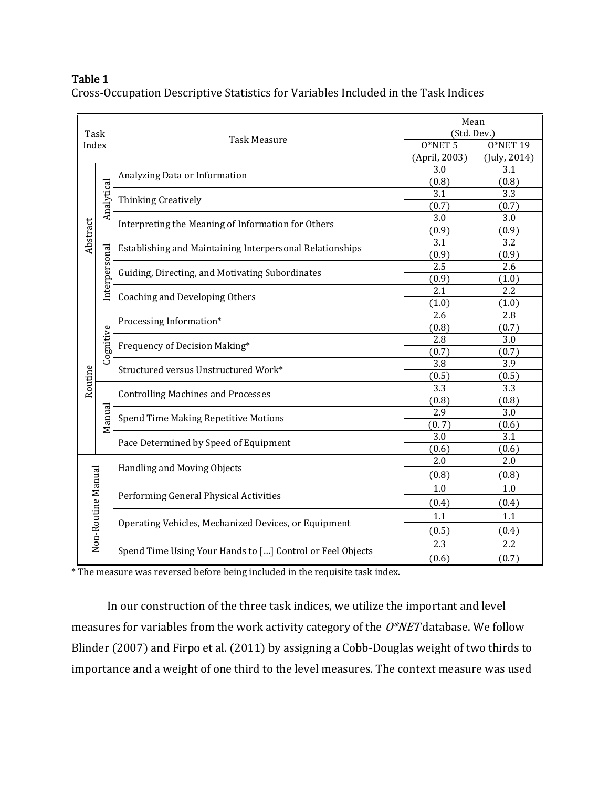# Table 1

Cross-Occupation Descriptive Statistics for Variables Included in the Task Indices

|          | Task                                      |                                                           | Mean<br>(Std. Dev.) |              |
|----------|-------------------------------------------|-----------------------------------------------------------|---------------------|--------------|
|          | Index                                     | <b>Task Measure</b>                                       | $0*NET5$            | 0*NET 19     |
|          |                                           |                                                           | (April, 2003)       | (July, 2014) |
|          |                                           |                                                           | 3.0                 | 3.1          |
|          |                                           | Analyzing Data or Information                             | (0.8)               | (0.8)        |
|          |                                           |                                                           | 3.1                 | 3.3          |
|          | Analytical                                | Thinking Creatively                                       | (0.7)               | (0.7)        |
|          |                                           | Interpreting the Meaning of Information for Others        | 3.0                 | 3.0          |
| Abstract |                                           |                                                           | (0.9)               | (0.9)        |
|          |                                           | Establishing and Maintaining Interpersonal Relationships  | 3.1                 | 3.2          |
|          |                                           |                                                           | (0.9)               | (0.9)        |
|          | Interpersonal                             | Guiding, Directing, and Motivating Subordinates           | 2.5                 | 2.6          |
|          |                                           |                                                           | (0.9)               | (1.0)        |
|          |                                           | <b>Coaching and Developing Others</b>                     | 2.1                 | 2.2          |
|          |                                           |                                                           | (1.0)               | (1.0)        |
|          |                                           | Processing Information*                                   | 2.6                 | 2.8          |
|          |                                           |                                                           | (0.8)               | (0.7)        |
|          | Cognitive                                 | Frequency of Decision Making*                             | 2.8                 | 3.0          |
|          |                                           |                                                           | (0.7)               | (0.7)        |
|          |                                           | Structured versus Unstructured Work*                      | 3.8                 | 3.9          |
|          |                                           |                                                           | (0.5)               | (0.5)        |
| Routine  | <b>Controlling Machines and Processes</b> | 3.3                                                       | 3.3                 |              |
|          |                                           |                                                           | (0.8)               | (0.8)        |
|          | Manual                                    | Spend Time Making Repetitive Motions                      | 2.9                 | 3.0          |
|          |                                           |                                                           | (0.7)               | (0.6)        |
|          |                                           | Pace Determined by Speed of Equipment                     | 3.0                 | 3.1          |
|          |                                           |                                                           | (0.6)               | (0.6)        |
|          |                                           | Handling and Moving Objects                               | 2.0                 | 2.0          |
|          |                                           |                                                           | (0.8)               | (0.8)        |
|          |                                           | Performing General Physical Activities                    | 1.0                 | $1.0\,$      |
|          |                                           |                                                           | (0.4)               | (0.4)        |
|          |                                           |                                                           | 1.1                 | 1.1          |
|          | Non-Routine Manual                        | Operating Vehicles, Mechanized Devices, or Equipment      | (0.5)               | (0.4)        |
|          |                                           |                                                           | 2.3                 | 2.2          |
|          |                                           | Spend Time Using Your Hands to [] Control or Feel Objects | (0.6)               | (0.7)        |

\* The measure was reversed before being included in the requisite task index.

In our construction of the three task indices, we utilize the important and level measures for variables from the work activity category of the  $O*NET$  database. We follow Blinder (2007) and Firpo et al. (2011) by assigning a Cobb-Douglas weight of two thirds to importance and a weight of one third to the level measures. The context measure was used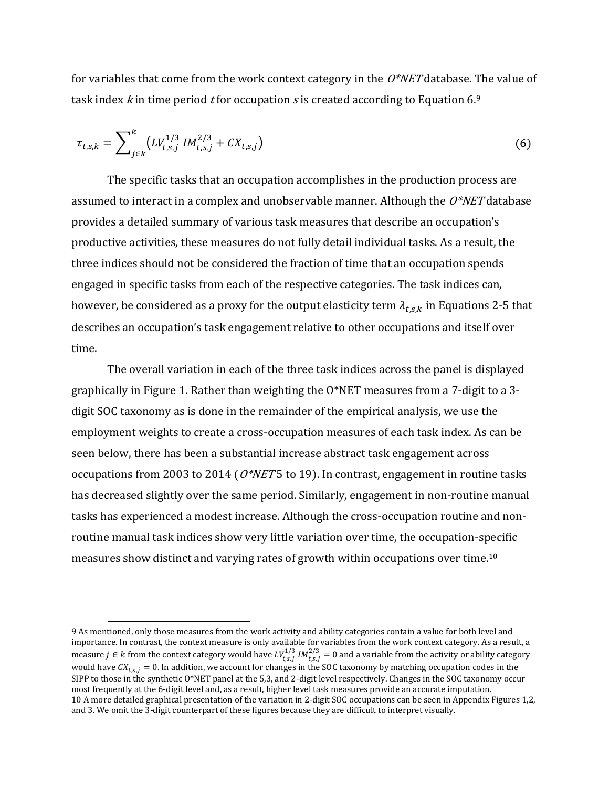for variables that come from the work context category in the  $O^*NET$  database. The value of task index kin time period t for occupation s is created according to Equation 6.9

$$
\tau_{t,s,k} = \sum_{j \in k}^{k} \left( L V_{t,s,j}^{1/3} M_{t,s,j}^{2/3} + C X_{t,s,j} \right) \tag{6}
$$

The specific tasks that an occupation accomplishes in the production process are assumed to interact in a complex and unobservable manner. Although the  $O^*NET$  database provides a detailed summary of various task measures that describe an occupation's productive activities, these measures do not fully detail individual tasks. As a result, the three indices should not be considered the fraction of time that an occupation spends engaged in specific tasks from each of the respective categories. The task indices can, however, be considered as a proxy for the output elasticity term  $\lambda_{t,s,k}$  in Equations 2-5 that describes an occupation's task engagement relative to other occupations and itself over time.

The overall variation in each of the three task indices across the panel is displayed graphically in Figure 1. Rather than weighting the O\*NET measures from a 7-digit to a 3 digit SOC taxonomy as is done in the remainder of the empirical analysis, we use the employment weights to create a cross-occupation measures of each task index. As can be seen below, there has been a substantial increase abstract task engagement across occupations from 2003 to 2014 ( $O^*NET$ 5 to 19). In contrast, engagement in routine tasks has decreased slightly over the same period. Similarly, engagement in non-routine manual tasks has experienced a modest increase. Although the cross-occupation routine and nonroutine manual task indices show very little variation over time, the occupation-specific measures show distinct and varying rates of growth within occupations over time.<sup>10</sup>

 $\overline{a}$ 

<sup>9</sup> As mentioned, only those measures from the work activity and ability categories contain a value for both level and importance. In contrast, the context measure is only available for variables from the work context category. As a result, a measure  $j\in k$  from the context category would have  $LV_{t,s,j}^{1/3}$  IM $_{t,s,j}^{2/3}=0$  and a variable from the activity or ability category would have  $C X_{t,s,j} = 0$ . In addition, we account for changes in the SOC taxonomy by matching occupation codes in the SIPP to those in the synthetic O\*NET panel at the 5,3, and 2-digit level respectively. Changes in the SOC taxonomy occur most frequently at the 6-digit level and, as a result, higher level task measures provide an accurate imputation. 10 A more detailed graphical presentation of the variation in 2-digit SOC occupations can be seen in Appendix Figures 1,2, and 3. We omit the 3-digit counterpart of these figures because they are difficult to interpret visually.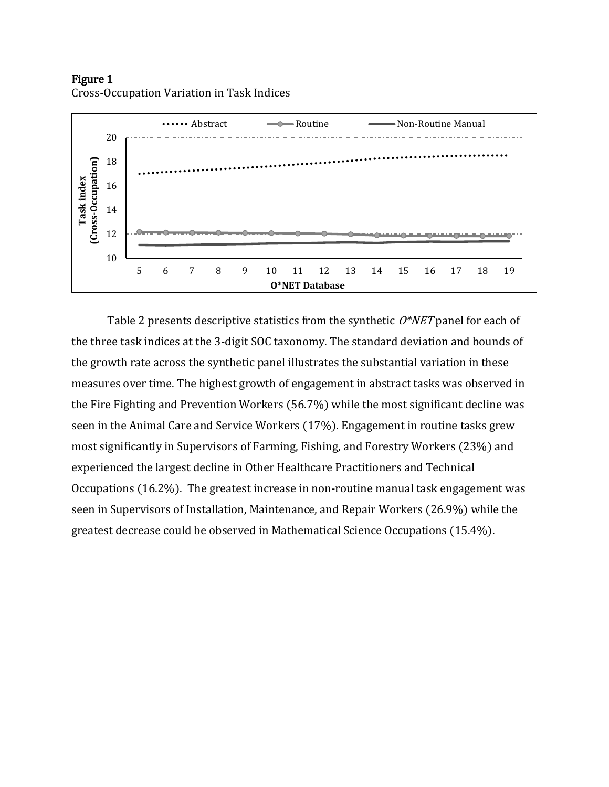Figure 1



Cross-Occupation Variation in Task Indices

Table 2 presents descriptive statistics from the synthetic  $O^*NET$  panel for each of the three task indices at the 3-digit SOC taxonomy. The standard deviation and bounds of the growth rate across the synthetic panel illustrates the substantial variation in these measures over time. The highest growth of engagement in abstract tasks was observed in the Fire Fighting and Prevention Workers (56.7%) while the most significant decline was seen in the Animal Care and Service Workers (17%). Engagement in routine tasks grew most significantly in Supervisors of Farming, Fishing, and Forestry Workers (23%) and experienced the largest decline in Other Healthcare Practitioners and Technical Occupations (16.2%). The greatest increase in non-routine manual task engagement was seen in Supervisors of Installation, Maintenance, and Repair Workers (26.9%) while the greatest decrease could be observed in Mathematical Science Occupations (15.4%).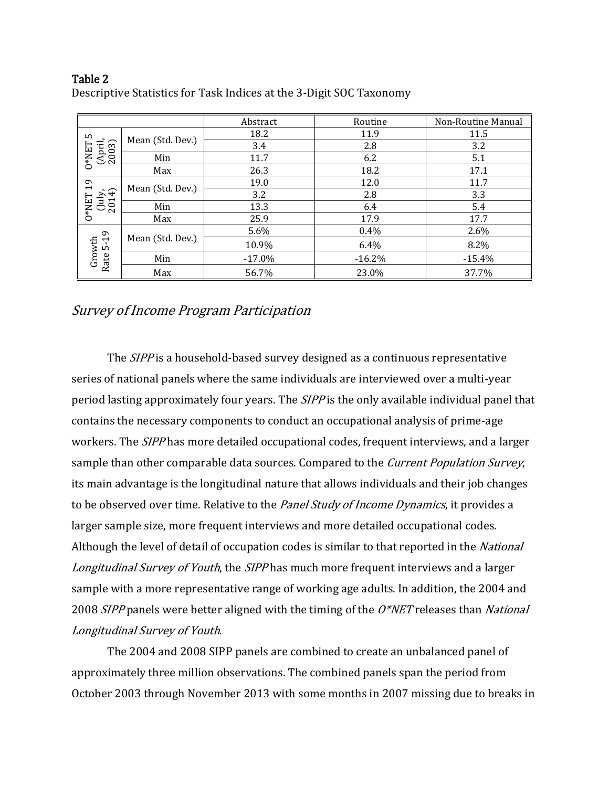## Table 2 Descriptive Statistics for Task Indices at the 3-Digit SOC Taxonomy

|                             |                  | Abstract | Routine  | Non-Routine Manual |
|-----------------------------|------------------|----------|----------|--------------------|
| LO                          |                  | 18.2     | 11.9     | 11.5               |
| (April,<br>2003)            | Mean (Std. Dev.) | 3.4      | 2.8      | 3.2                |
| $0^*$ NET                   | Min              | 11.7     | 6.2      | 5.1                |
|                             | Max              | 26.3     | 18.2     | 17.1               |
| 19                          | Mean (Std. Dev.) | 19.0     | 12.0     | 11.7               |
| $(\text{luly}, \text{v14})$ |                  | 3.2      | 2.8      | 3.3                |
| $O*NET$<br>201              | Min              | 13.3     | 6.4      | 5.4                |
|                             | Max              | 25.9     | 17.9     | 17.7               |
|                             | Mean (Std. Dev.) | 5.6%     | 0.4%     | 2.6%               |
| $5 - 19$                    |                  | 10.9%    | 6.4%     | 8.2%               |
| Growth<br>Rate              | Min              | $-17.0%$ | $-16.2%$ | $-15.4%$           |
|                             | Max              | 56.7%    | 23.0%    | 37.7%              |

# Survey of Income Program Participation

The *SIPP* is a household-based survey designed as a continuous representative series of national panels where the same individuals are interviewed over a multi-year period lasting approximately four years. The *SIPP* is the only available individual panel that contains the necessary components to conduct an occupational analysis of prime-age workers. The *SIPP* has more detailed occupational codes, frequent interviews, and a larger sample than other comparable data sources. Compared to the *Current Population Survey*, its main advantage is the longitudinal nature that allows individuals and their job changes to be observed over time. Relative to the Panel Study of Income Dynamics, it provides a larger sample size, more frequent interviews and more detailed occupational codes. Although the level of detail of occupation codes is similar to that reported in the National Longitudinal Survey of Youth, the SIPP has much more frequent interviews and a larger sample with a more representative range of working age adults. In addition, the 2004 and 2008 SIPP panels were better aligned with the timing of the  $O^*NET$  releases than National Longitudinal Survey of Youth.

The 2004 and 2008 SIPP panels are combined to create an unbalanced panel of approximately three million observations. The combined panels span the period from October 2003 through November 2013 with some months in 2007 missing due to breaks in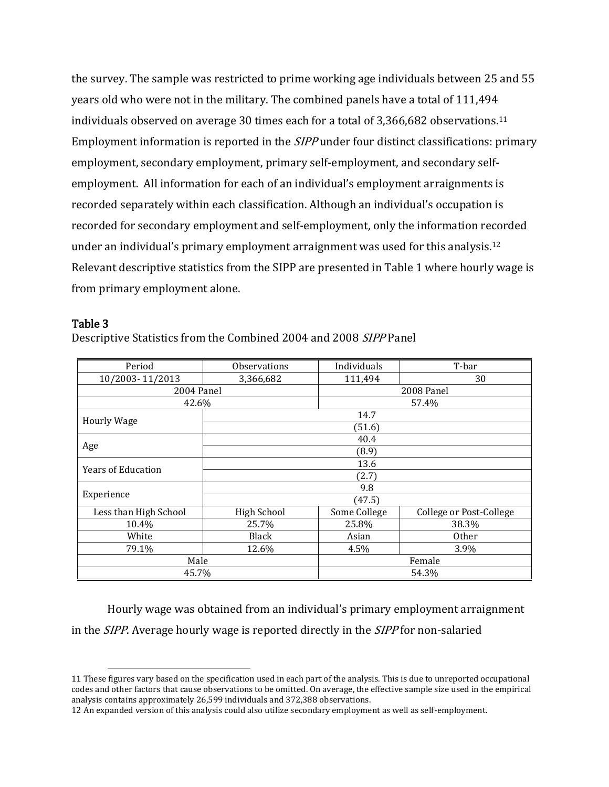the survey. The sample was restricted to prime working age individuals between 25 and 55 years old who were not in the military. The combined panels have a total of 111,494 individuals observed on average 30 times each for a total of 3,366,682 observations.<sup>11</sup> Employment information is reported in the SIPP under four distinct classifications: primary employment, secondary employment, primary self-employment, and secondary selfemployment. All information for each of an individual's employment arraignments is recorded separately within each classification. Although an individual's occupation is recorded for secondary employment and self-employment, only the information recorded under an individual's primary employment arraignment was used for this analysis.<sup>12</sup> Relevant descriptive statistics from the SIPP are presented in Table 1 where hourly wage is from primary employment alone.

### Table 3

 $\overline{a}$ 

Descriptive Statistics from the Combined 2004 and 2008 SIPP Panel

| Period                    | Observations | Individuals                                                                                                            | T-bar                                             |  |
|---------------------------|--------------|------------------------------------------------------------------------------------------------------------------------|---------------------------------------------------|--|
| 10/2003-11/2013           | 3,366,682    | 111,494                                                                                                                | 30                                                |  |
| 2004 Panel                |              |                                                                                                                        | 2008 Panel                                        |  |
| 42.6%                     |              | 57.4%                                                                                                                  |                                                   |  |
| <b>Hourly Wage</b>        |              | 14.7                                                                                                                   |                                                   |  |
|                           |              | (51.6)<br>40.4<br>(8.9)<br>13.6<br>(2.7)<br>9.8<br>(47.5)<br>Some College<br>25.8%<br>Asian<br>4.5%<br>Female<br>54.3% |                                                   |  |
|                           |              |                                                                                                                        |                                                   |  |
| Age                       |              |                                                                                                                        | College or Post-College<br>38.3%<br>Other<br>3.9% |  |
| <b>Years of Education</b> |              |                                                                                                                        |                                                   |  |
|                           |              |                                                                                                                        |                                                   |  |
|                           |              |                                                                                                                        |                                                   |  |
| Experience                |              |                                                                                                                        |                                                   |  |
| Less than High School     | High School  |                                                                                                                        |                                                   |  |
| 10.4%                     | 25.7%        |                                                                                                                        |                                                   |  |
| White                     | Black        |                                                                                                                        |                                                   |  |
| 79.1%                     | 12.6%        |                                                                                                                        |                                                   |  |
| Male                      |              |                                                                                                                        |                                                   |  |
| 45.7%                     |              |                                                                                                                        |                                                   |  |

Hourly wage was obtained from an individual's primary employment arraignment in the *SIPP*. Average hourly wage is reported directly in the *SIPP* for non-salaried

<sup>11</sup> These figures vary based on the specification used in each part of the analysis. This is due to unreported occupational codes and other factors that cause observations to be omitted. On average, the effective sample size used in the empirical analysis contains approximately 26,599 individuals and 372,388 observations.

<sup>12</sup> An expanded version of this analysis could also utilize secondary employment as well as self-employment.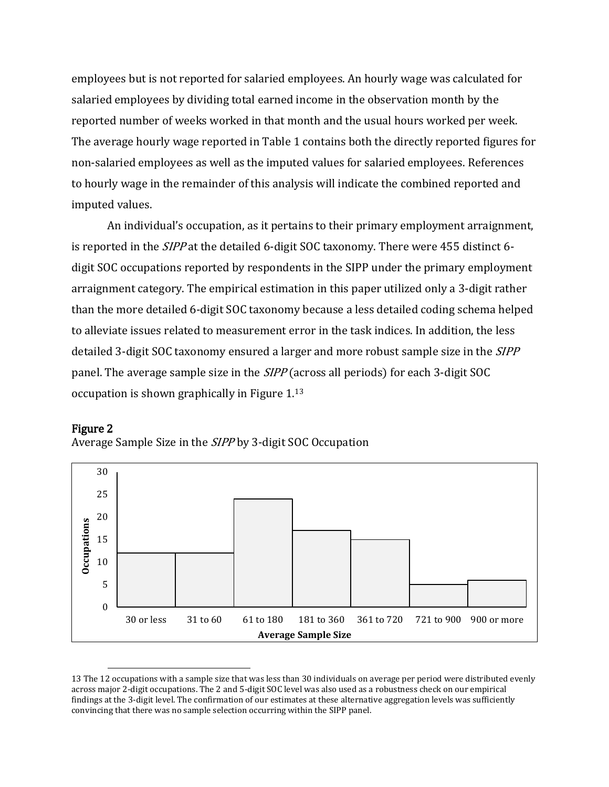employees but is not reported for salaried employees. An hourly wage was calculated for salaried employees by dividing total earned income in the observation month by the reported number of weeks worked in that month and the usual hours worked per week. The average hourly wage reported in Table 1 contains both the directly reported figures for non-salaried employees as well as the imputed values for salaried employees. References to hourly wage in the remainder of this analysis will indicate the combined reported and imputed values.

An individual's occupation, as it pertains to their primary employment arraignment, is reported in the SIPP at the detailed 6-digit SOC taxonomy. There were 455 distinct 6 digit SOC occupations reported by respondents in the SIPP under the primary employment arraignment category. The empirical estimation in this paper utilized only a 3-digit rather than the more detailed 6-digit SOC taxonomy because a less detailed coding schema helped to alleviate issues related to measurement error in the task indices. In addition, the less detailed 3-digit SOC taxonomy ensured a larger and more robust sample size in the *SIPP* panel. The average sample size in the SIPP (across all periods) for each 3-digit SOC occupation is shown graphically in Figure 1.<sup>13</sup>



 $\overline{a}$ 

Average Sample Size in the SIPP by 3-digit SOC Occupation



<sup>13</sup> The 12 occupations with a sample size that was less than 30 individuals on average per period were distributed evenly across major 2-digit occupations. The 2 and 5-digit SOC level was also used as a robustness check on our empirical findings at the 3-digit level. The confirmation of our estimates at these alternative aggregation levels was sufficiently convincing that there was no sample selection occurring within the SIPP panel.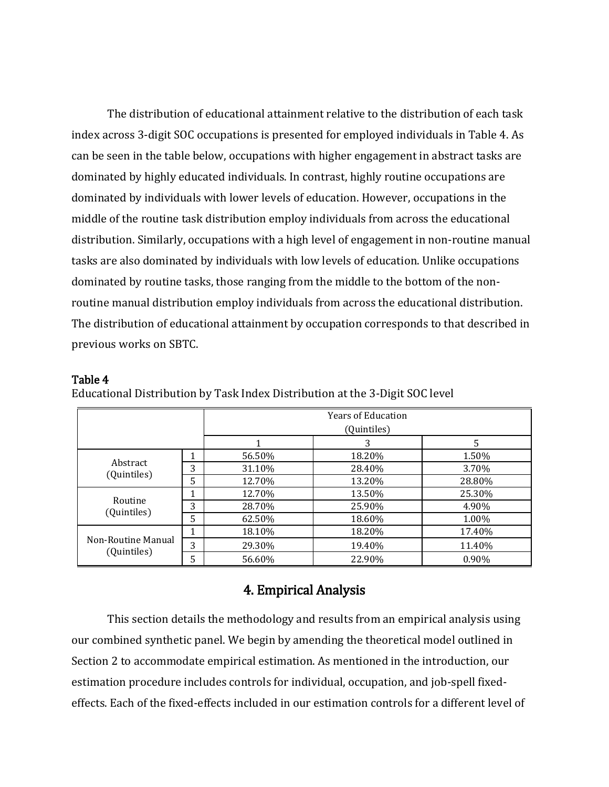The distribution of educational attainment relative to the distribution of each task index across 3-digit SOC occupations is presented for employed individuals in Table 4. As can be seen in the table below, occupations with higher engagement in abstract tasks are dominated by highly educated individuals. In contrast, highly routine occupations are dominated by individuals with lower levels of education. However, occupations in the middle of the routine task distribution employ individuals from across the educational distribution. Similarly, occupations with a high level of engagement in non-routine manual tasks are also dominated by individuals with low levels of education. Unlike occupations dominated by routine tasks, those ranging from the middle to the bottom of the nonroutine manual distribution employ individuals from across the educational distribution. The distribution of educational attainment by occupation corresponds to that described in previous works on SBTC.

#### Table 4

|                                   |   | <b>Years of Education</b> |        |        |
|-----------------------------------|---|---------------------------|--------|--------|
|                                   |   | (Quintiles)               |        |        |
|                                   |   |                           | 3      | 5      |
|                                   | 1 | 56.50%                    | 18.20% | 1.50%  |
| Abstract                          | 3 | 31.10%                    | 28.40% | 3.70%  |
| (Quintiles)                       | 5 | 12.70%                    | 13.20% | 28.80% |
|                                   | 1 | 12.70%                    | 13.50% | 25.30% |
| Routine<br>(Quintiles)            | 3 | 28.70%                    | 25.90% | 4.90%  |
|                                   | 5 | 62.50%                    | 18.60% | 1.00%  |
|                                   | 1 | 18.10%                    | 18.20% | 17.40% |
| Non-Routine Manual<br>(Quintiles) | 3 | 29.30%                    | 19.40% | 11.40% |
|                                   | 5 | 56.60%                    | 22.90% | 0.90%  |

Educational Distribution by Task Index Distribution at the 3-Digit SOC level

# 4. Empirical Analysis

This section details the methodology and results from an empirical analysis using our combined synthetic panel. We begin by amending the theoretical model outlined in Section 2 to accommodate empirical estimation. As mentioned in the introduction, our estimation procedure includes controls for individual, occupation, and job-spell fixedeffects. Each of the fixed-effects included in our estimation controls for a different level of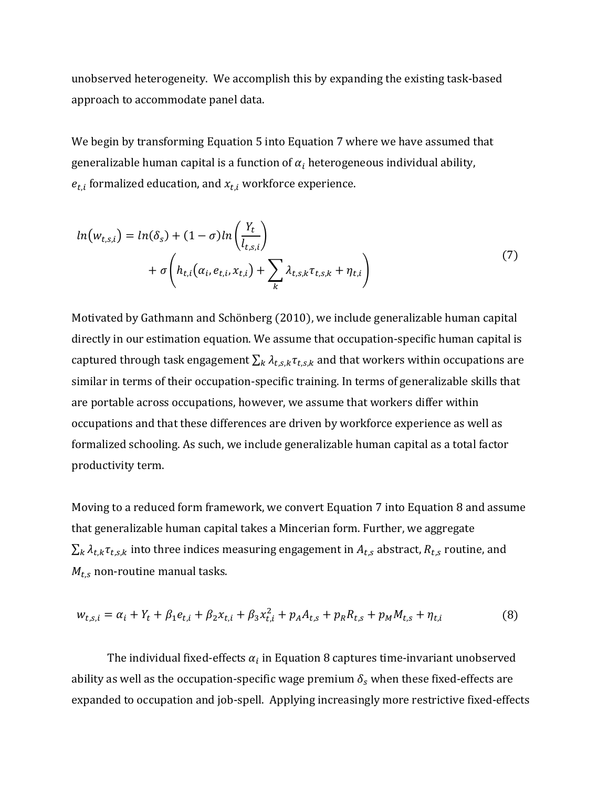unobserved heterogeneity. We accomplish this by expanding the existing task-based approach to accommodate panel data.

We begin by transforming Equation 5 into Equation 7 where we have assumed that generalizable human capital is a function of  $\alpha_i$  heterogeneous individual ability,  $e_{t,i}$  formalized education, and  $x_{t,i}$  workforce experience.

$$
ln(w_{t,s,i}) = ln(\delta_s) + (1 - \sigma)ln\left(\frac{Y_t}{l_{t,s,i}}\right) + \sigma\left(h_{t,i}(\alpha_i, e_{t,i}, x_{t,i}) + \sum_k \lambda_{t,s,k} \tau_{t,s,k} + \eta_{t,i}\right)
$$
\n
$$
(7)
$$

Motivated by Gathmann and Schönberg (2010), we include generalizable human capital directly in our estimation equation. We assume that occupation-specific human capital is captured through task engagement  $\sum_k \lambda_{t,s,k} \tau_{t,s,k}$  and that workers within occupations are similar in terms of their occupation-specific training. In terms of generalizable skills that are portable across occupations, however, we assume that workers differ within occupations and that these differences are driven by workforce experience as well as formalized schooling. As such, we include generalizable human capital as a total factor productivity term.

Moving to a reduced form framework, we convert Equation 7 into Equation 8 and assume that generalizable human capital takes a Mincerian form. Further, we aggregate  $\sum_k \lambda_{t,k} \tau_{t,s,k}$  into three indices measuring engagement in  $A_{t,s}$  abstract,  $R_{t,s}$  routine, and  $M_{t,s}$  non-routine manual tasks.

$$
w_{t,s,i} = \alpha_i + Y_t + \beta_1 e_{t,i} + \beta_2 x_{t,i} + \beta_3 x_{t,i}^2 + p_A A_{t,s} + p_R R_{t,s} + p_M M_{t,s} + \eta_{t,i}
$$
(8)

The individual fixed-effects  $\alpha_i$  in Equation 8 captures time-invariant unobserved ability as well as the occupation-specific wage premium  $\delta_{\rm s}$  when these fixed-effects are expanded to occupation and job-spell. Applying increasingly more restrictive fixed-effects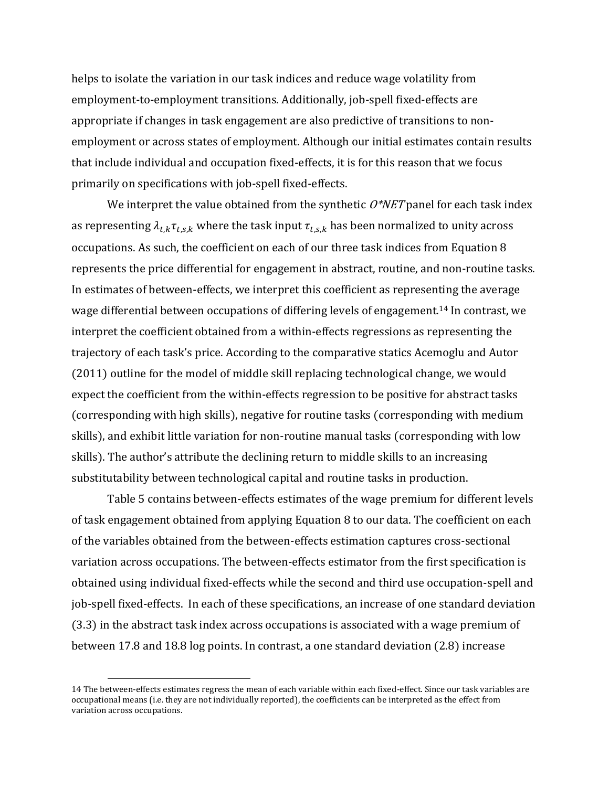helps to isolate the variation in our task indices and reduce wage volatility from employment-to-employment transitions. Additionally, job-spell fixed-effects are appropriate if changes in task engagement are also predictive of transitions to nonemployment or across states of employment. Although our initial estimates contain results that include individual and occupation fixed-effects, it is for this reason that we focus primarily on specifications with job-spell fixed-effects.

We interpret the value obtained from the synthetic  $O^*NET$  panel for each task index as representing  $\lambda_{t,k} \tau_{t,s,k}$  where the task input  $\tau_{t,s,k}$  has been normalized to unity across occupations. As such, the coefficient on each of our three task indices from Equation 8 represents the price differential for engagement in abstract, routine, and non-routine tasks. In estimates of between-effects, we interpret this coefficient as representing the average wage differential between occupations of differing levels of engagement.<sup>14</sup> In contrast, we interpret the coefficient obtained from a within-effects regressions as representing the trajectory of each task's price. According to the comparative statics Acemoglu and Autor (2011) outline for the model of middle skill replacing technological change, we would expect the coefficient from the within-effects regression to be positive for abstract tasks (corresponding with high skills), negative for routine tasks (corresponding with medium skills), and exhibit little variation for non-routine manual tasks (corresponding with low skills). The author's attribute the declining return to middle skills to an increasing substitutability between technological capital and routine tasks in production.

Table 5 contains between-effects estimates of the wage premium for different levels of task engagement obtained from applying Equation 8 to our data. The coefficient on each of the variables obtained from the between-effects estimation captures cross-sectional variation across occupations. The between-effects estimator from the first specification is obtained using individual fixed-effects while the second and third use occupation-spell and job-spell fixed-effects. In each of these specifications, an increase of one standard deviation (3.3) in the abstract task index across occupations is associated with a wage premium of between 17.8 and 18.8 log points. In contrast, a one standard deviation (2.8) increase

l

<sup>14</sup> The between-effects estimates regress the mean of each variable within each fixed-effect. Since our task variables are occupational means (i.e. they are not individually reported), the coefficients can be interpreted as the effect from variation across occupations.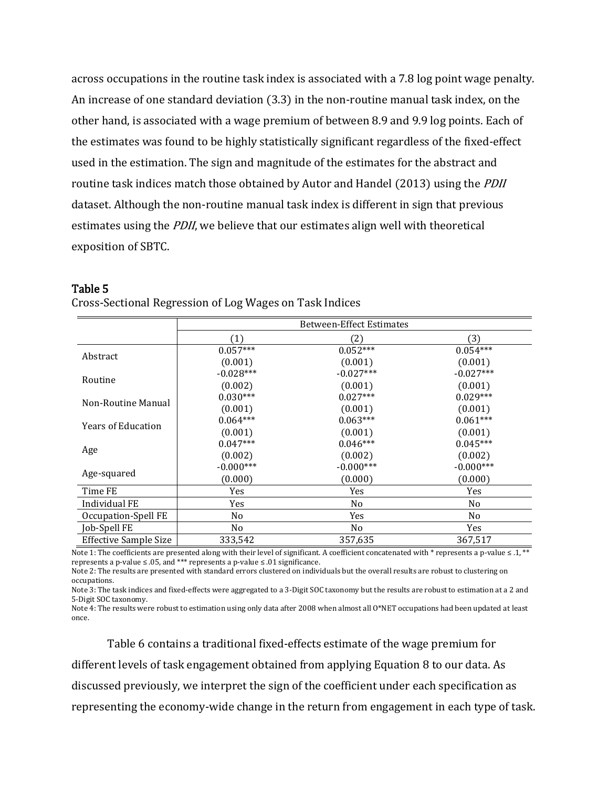across occupations in the routine task index is associated with a 7.8 log point wage penalty. An increase of one standard deviation (3.3) in the non-routine manual task index, on the other hand, is associated with a wage premium of between 8.9 and 9.9 log points. Each of the estimates was found to be highly statistically significant regardless of the fixed-effect used in the estimation. The sign and magnitude of the estimates for the abstract and routine task indices match those obtained by Autor and Handel (2013) using the PDII dataset. Although the non-routine manual task index is different in sign that previous estimates using the PDII, we believe that our estimates align well with theoretical exposition of SBTC.

|                              | <b>Between-Effect Estimates</b> |                |                |
|------------------------------|---------------------------------|----------------|----------------|
|                              | (1)                             | (2)            | (3)            |
|                              | $0.057***$                      | $0.052***$     | $0.054***$     |
| Abstract                     | (0.001)                         | (0.001)        | (0.001)        |
| Routine                      | $-0.028***$                     | $-0.027***$    | $-0.027***$    |
|                              | (0.002)                         | (0.001)        | (0.001)        |
| Non-Routine Manual           | $0.030***$                      | $0.027***$     | $0.029***$     |
|                              | (0.001)                         | (0.001)        | (0.001)        |
| <b>Years of Education</b>    | $0.064***$                      | $0.063***$     | $0.061***$     |
|                              | (0.001)                         | (0.001)        | (0.001)        |
|                              | $0.047***$                      | $0.046***$     | $0.045***$     |
| Age                          | (0.002)                         | (0.002)        | (0.002)        |
|                              | $-0.000***$                     | $-0.000***$    | $-0.000***$    |
| Age-squared                  | (0.000)                         | (0.000)        | (0.000)        |
| Time FE                      | Yes                             | Yes            | Yes            |
| Individual FE                | <b>Yes</b>                      | N <sub>0</sub> | N <sub>0</sub> |
| Occupation-Spell FE          | No                              | Yes            | No             |
| Job-Spell FE                 | No                              | No             | Yes            |
| <b>Effective Sample Size</b> | 333,542                         | 357,635        | 367,517        |

#### Table 5

Cross-Sectional Regression of Log Wages on Task Indices

Note 1: The coefficients are presented along with their level of significant. A coefficient concatenated with \* represents a p-value ≤ .1, \*\* represents a p-value ≤ .05, and \*\*\* represents a p-value ≤ .01 significance.

Note 2: The results are presented with standard errors clustered on individuals but the overall results are robust to clustering on occupations.

Note 3: The task indices and fixed-effects were aggregated to a 3-Digit SOC taxonomy but the results are robust to estimation at a 2 and 5-Digit SOC taxonomy.

Note 4: The results were robust to estimation using only data after 2008 when almost all O\*NET occupations had been updated at least once.

Table 6 contains a traditional fixed-effects estimate of the wage premium for different levels of task engagement obtained from applying Equation 8 to our data. As discussed previously, we interpret the sign of the coefficient under each specification as representing the economy-wide change in the return from engagement in each type of task.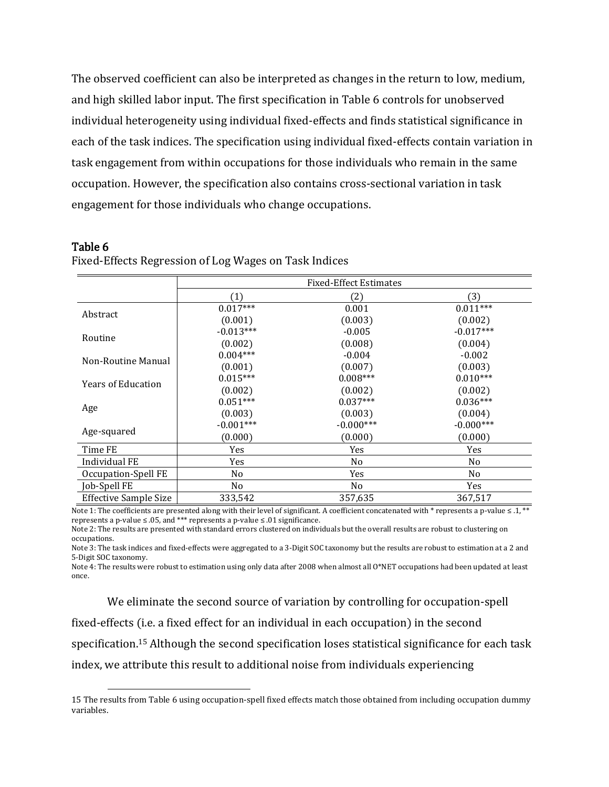The observed coefficient can also be interpreted as changes in the return to low, medium, and high skilled labor input. The first specification in Table 6 controls for unobserved individual heterogeneity using individual fixed-effects and finds statistical significance in each of the task indices. The specification using individual fixed-effects contain variation in task engagement from within occupations for those individuals who remain in the same occupation. However, the specification also contains cross-sectional variation in task engagement for those individuals who change occupations.

#### Table 6

l

Fixed-Effects Regression of Log Wages on Task Indices

|                              | <b>Fixed-Effect Estimates</b> |             |                |
|------------------------------|-------------------------------|-------------|----------------|
|                              | (1)                           | (2)         | (3)            |
| Abstract                     | $0.017***$                    | 0.001       | $0.011***$     |
|                              | (0.001)                       | (0.003)     | (0.002)        |
| Routine                      | $-0.013***$                   | $-0.005$    | $-0.017***$    |
|                              | (0.002)                       | (0.008)     | (0.004)        |
| Non-Routine Manual           | $0.004***$                    | $-0.004$    | $-0.002$       |
|                              | (0.001)                       | (0.007)     | (0.003)        |
| <b>Years of Education</b>    | $0.015***$                    | $0.008***$  | $0.010***$     |
|                              | (0.002)                       | (0.002)     | (0.002)        |
|                              | $0.051***$                    | $0.037***$  | $0.036***$     |
| Age                          | (0.003)                       | (0.003)     | (0.004)        |
| Age-squared                  | $-0.001***$                   | $-0.000***$ | $-0.000***$    |
|                              | (0.000)                       | (0.000)     | (0.000)        |
| Time FE                      | Yes                           | Yes         | Yes            |
| Individual FE                | Yes                           | No          | No             |
| Occupation-Spell FE          | No                            | Yes         | N <sub>0</sub> |
| Job-Spell FE                 | No                            | No          | Yes            |
| <b>Effective Sample Size</b> | 333,542                       | 357,635     | 367,517        |

Note 1: The coefficients are presented along with their level of significant. A coefficient concatenated with  $*$  represents a p-value  $\leq 0.1$ ,  $**$ represents a p-value ≤ .05, and \*\*\* represents a p-value ≤ .01 significance.

Note 2: The results are presented with standard errors clustered on individuals but the overall results are robust to clustering on occupations.

Note 3: The task indices and fixed-effects were aggregated to a 3-Digit SOC taxonomy but the results are robust to estimation at a 2 and 5-Digit SOC taxonomy.

Note 4: The results were robust to estimation using only data after 2008 when almost all O\*NET occupations had been updated at least once.

We eliminate the second source of variation by controlling for occupation-spell fixed-effects (i.e. a fixed effect for an individual in each occupation) in the second specification.<sup>15</sup> Although the second specification loses statistical significance for each task index, we attribute this result to additional noise from individuals experiencing

<sup>15</sup> The results from Table 6 using occupation-spell fixed effects match those obtained from including occupation dummy variables.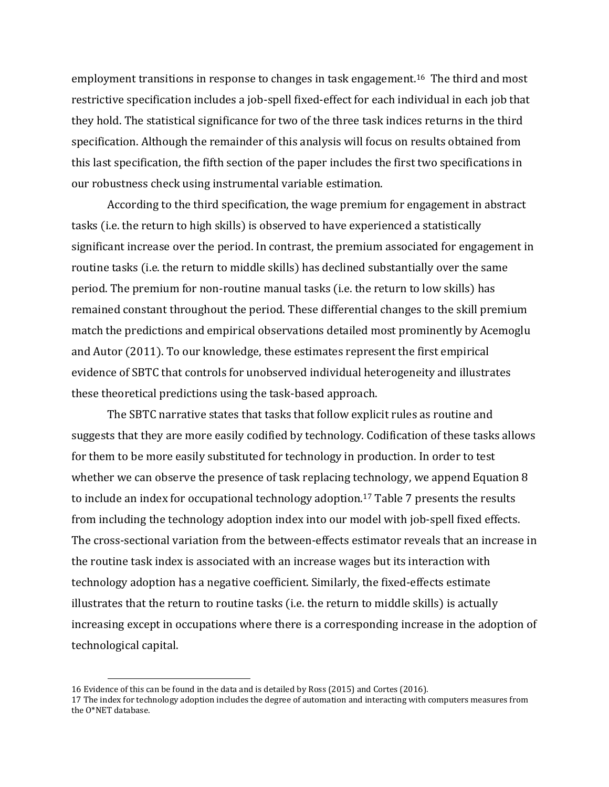employment transitions in response to changes in task engagement.16 The third and most restrictive specification includes a job-spell fixed-effect for each individual in each job that they hold. The statistical significance for two of the three task indices returns in the third specification. Although the remainder of this analysis will focus on results obtained from this last specification, the fifth section of the paper includes the first two specifications in our robustness check using instrumental variable estimation.

According to the third specification, the wage premium for engagement in abstract tasks (i.e. the return to high skills) is observed to have experienced a statistically significant increase over the period. In contrast, the premium associated for engagement in routine tasks (i.e. the return to middle skills) has declined substantially over the same period. The premium for non-routine manual tasks (i.e. the return to low skills) has remained constant throughout the period. These differential changes to the skill premium match the predictions and empirical observations detailed most prominently by Acemoglu and Autor (2011). To our knowledge, these estimates represent the first empirical evidence of SBTC that controls for unobserved individual heterogeneity and illustrates these theoretical predictions using the task-based approach.

The SBTC narrative states that tasks that follow explicit rules as routine and suggests that they are more easily codified by technology. Codification of these tasks allows for them to be more easily substituted for technology in production. In order to test whether we can observe the presence of task replacing technology, we append Equation 8 to include an index for occupational technology adoption.<sup>17</sup> Table 7 presents the results from including the technology adoption index into our model with job-spell fixed effects. The cross-sectional variation from the between-effects estimator reveals that an increase in the routine task index is associated with an increase wages but its interaction with technology adoption has a negative coefficient. Similarly, the fixed-effects estimate illustrates that the return to routine tasks (i.e. the return to middle skills) is actually increasing except in occupations where there is a corresponding increase in the adoption of technological capital.

l

<sup>16</sup> Evidence of this can be found in the data and is detailed by Ross (2015) and Cortes (2016).

<sup>17</sup> The index for technology adoption includes the degree of automation and interacting with computers measures from the O\*NET database.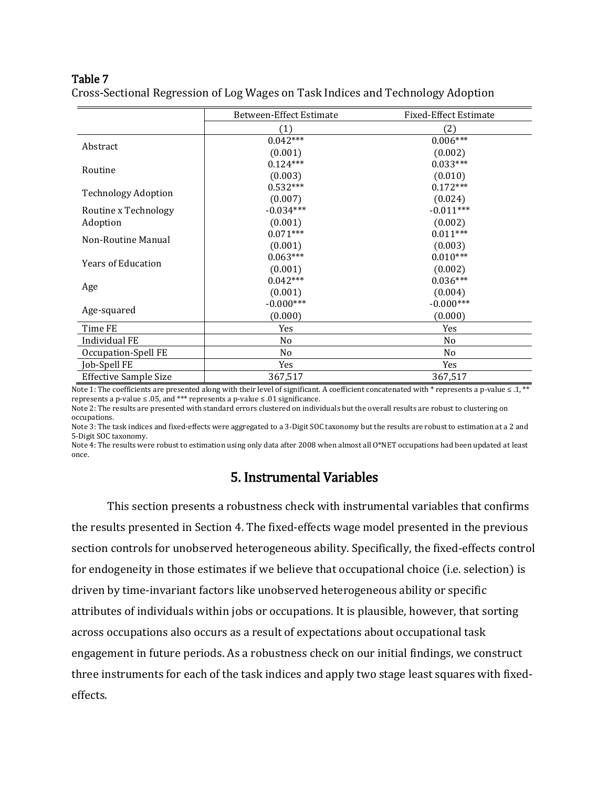### Table 7

|                              | Between-Effect Estimate | <b>Fixed-Effect Estimate</b> |
|------------------------------|-------------------------|------------------------------|
|                              | (1)                     | (2)                          |
|                              | $0.042***$              | $0.006***$                   |
| Abstract                     | (0.001)                 | (0.002)                      |
| Routine                      | $0.124***$              | $0.033***$                   |
|                              | (0.003)                 | (0.010)                      |
| <b>Technology Adoption</b>   | $0.532***$              | $0.172***$                   |
|                              | (0.007)                 | (0.024)                      |
| Routine x Technology         | $-0.034***$             | $-0.011***$                  |
| Adoption                     | (0.001)                 | (0.002)                      |
| Non-Routine Manual           | $0.071***$              | $0.011***$                   |
|                              | (0.001)                 | (0.003)                      |
| <b>Years of Education</b>    | $0.063***$              | $0.010***$                   |
|                              | (0.001)                 | (0.002)                      |
|                              | $0.042***$              | $0.036***$                   |
| Age                          | (0.001)                 | (0.004)                      |
|                              | $-0.000***$             | $-0.000***$                  |
| Age-squared                  | (0.000)                 | (0.000)                      |
| Time FE                      | Yes                     | Yes                          |
| Individual FE                | No                      | N <sub>0</sub>               |
| Occupation-Spell FE          | No                      | No                           |
| Job-Spell FE                 | Yes                     | Yes                          |
| <b>Effective Sample Size</b> | 367,517                 | 367,517                      |

Cross-Sectional Regression of Log Wages on Task Indices and Technology Adoption

Note 1: The coefficients are presented along with their level of significant. A coefficient concatenated with \* represents a p-value ≤ .1, \*\* represents a p-value ≤ .05, and \*\*\* represents a p-value ≤ .01 significance.

Note 2: The results are presented with standard errors clustered on individuals but the overall results are robust to clustering on occupations.

Note 3: The task indices and fixed-effects were aggregated to a 3-Digit SOC taxonomy but the results are robust to estimation at a 2 and 5-Digit SOC taxonomy.

Note 4: The results were robust to estimation using only data after 2008 when almost all O\*NET occupations had been updated at least once.

# 5. Instrumental Variables

This section presents a robustness check with instrumental variables that confirms the results presented in Section 4. The fixed-effects wage model presented in the previous section controls for unobserved heterogeneous ability. Specifically, the fixed-effects control for endogeneity in those estimates if we believe that occupational choice (i.e. selection) is driven by time-invariant factors like unobserved heterogeneous ability or specific attributes of individuals within jobs or occupations. It is plausible, however, that sorting across occupations also occurs as a result of expectations about occupational task engagement in future periods. As a robustness check on our initial findings, we construct three instruments for each of the task indices and apply two stage least squares with fixedeffects.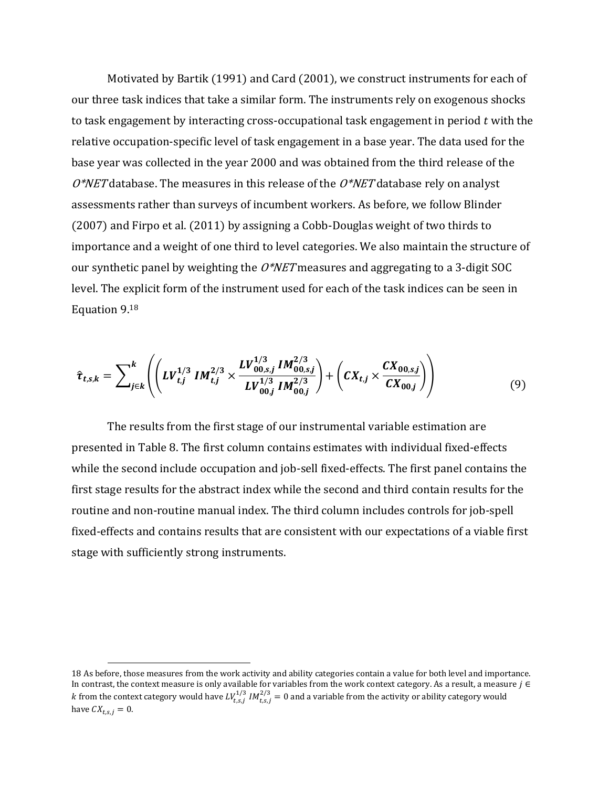Motivated by Bartik (1991) and Card (2001), we construct instruments for each of our three task indices that take a similar form. The instruments rely on exogenous shocks to task engagement by interacting cross-occupational task engagement in period  $t$  with the relative occupation-specific level of task engagement in a base year. The data used for the base year was collected in the year 2000 and was obtained from the third release of the  $O^*NET$  database. The measures in this release of the  $O^*NET$  database rely on analyst assessments rather than surveys of incumbent workers. As before, we follow Blinder (2007) and Firpo et al. (2011) by assigning a Cobb-Douglas weight of two thirds to importance and a weight of one third to level categories. We also maintain the structure of our synthetic panel by weighting the  $O^*NET$  measures and aggregating to a 3-digit SOC level. The explicit form of the instrument used for each of the task indices can be seen in Equation 9.<sup>18</sup>

$$
\hat{\tau}_{t,s,k} = \sum_{j \in k}^{k} \left( \left( LV_{t,j}^{1/3} IM_{t,j}^{2/3} \times \frac{LV_{00,s,j}^{1/3} IM_{00,s,j}^{2/3}}{LV_{00,j}^{1/3} IM_{00,j}^{2/3}} \right) + \left( CX_{t,j} \times \frac{CX_{00,s,j}}{CX_{00,j}} \right) \right)
$$
(9)

The results from the first stage of our instrumental variable estimation are presented in Table 8. The first column contains estimates with individual fixed-effects while the second include occupation and job-sell fixed-effects. The first panel contains the first stage results for the abstract index while the second and third contain results for the routine and non-routine manual index. The third column includes controls for job-spell fixed-effects and contains results that are consistent with our expectations of a viable first stage with sufficiently strong instruments.

 $\overline{a}$ 

<sup>18</sup> As before, those measures from the work activity and ability categories contain a value for both level and importance. In contrast, the context measure is only available for variables from the work context category. As a result, a measure  $j \in$ k from the context category would have  $LV_{t,s,j}^{1/3}$  IM $_{t,s,j}^{2/3}=0$  and a variable from the activity or ability category would have  $CX_{t,s,j} = 0$ .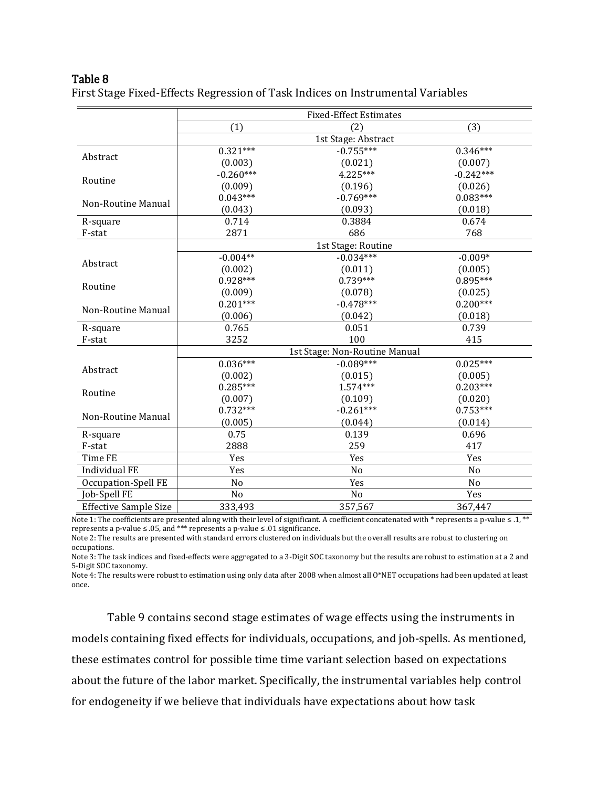### Table 8

First Stage Fixed-Effects Regression of Task Indices on Instrumental Variables

|                              | <b>Fixed-Effect Estimates</b> |                               |                |
|------------------------------|-------------------------------|-------------------------------|----------------|
|                              | (1)                           | (2)                           | (3)            |
|                              |                               | 1st Stage: Abstract           |                |
| Abstract                     | $0.321***$                    | $-0.755***$                   | $0.346***$     |
|                              | (0.003)                       | (0.021)                       | (0.007)        |
|                              | $-0.260***$                   | $4.225***$                    | $-0.242***$    |
| Routine                      | (0.009)                       | (0.196)                       | (0.026)        |
|                              | $0.043***$                    | $-0.769***$                   | $0.083***$     |
| Non-Routine Manual           | (0.043)                       | (0.093)                       | (0.018)        |
| R-square                     | 0.714                         | 0.3884                        | 0.674          |
| F-stat                       | 2871                          | 686                           | 768            |
|                              |                               | 1st Stage: Routine            |                |
|                              | $-0.004**$                    | $-0.034***$                   | $-0.009*$      |
| Abstract                     | (0.002)                       | (0.011)                       | (0.005)        |
|                              | $0.928***$                    | $0.739***$                    | $0.895***$     |
| Routine                      | (0.009)                       | (0.078)                       | (0.025)        |
| Non-Routine Manual           | $0.201***$                    | $-0.478***$                   | $0.200***$     |
|                              | (0.006)                       | (0.042)                       | (0.018)        |
| R-square                     | 0.765                         | 0.051                         | 0.739          |
| F-stat                       | 3252                          | 100                           | 415            |
|                              |                               | 1st Stage: Non-Routine Manual |                |
| Abstract                     | $0.036***$                    | $-0.089***$                   | $0.025***$     |
|                              | (0.002)                       | (0.015)                       | (0.005)        |
| Routine                      | $0.285***$                    | $1.574***$                    | $0.203***$     |
|                              | (0.007)                       | (0.109)                       | (0.020)        |
| Non-Routine Manual           | $0.732***$                    | $-0.261***$                   | $0.753***$     |
|                              | (0.005)                       | (0.044)                       | (0.014)        |
| R-square                     | 0.75                          | 0.139                         | 0.696          |
| F-stat                       | 2888                          | 259                           | 417            |
| Time FE                      | Yes                           | Yes                           | Yes            |
| <b>Individual FE</b>         | Yes                           | N <sub>o</sub>                | No             |
| Occupation-Spell FE          | No                            | Yes                           | N <sub>o</sub> |
| Job-Spell FE                 | No                            | No                            | Yes            |
| <b>Effective Sample Size</b> | 333,493                       | 357,567                       | 367,447        |

Note 1: The coefficients are presented along with their level of significant. A coefficient concatenated with \* represents a p-value ≤ .1, \*\* represents a p-value ≤ .05, and \*\*\* represents a p-value ≤ .01 significance.

Note 2: The results are presented with standard errors clustered on individuals but the overall results are robust to clustering on occupations.

Note 3: The task indices and fixed-effects were aggregated to a 3-Digit SOC taxonomy but the results are robust to estimation at a 2 and 5-Digit SOC taxonomy.

Note 4: The results were robust to estimation using only data after 2008 when almost all O\*NET occupations had been updated at least once.

Table 9 contains second stage estimates of wage effects using the instruments in models containing fixed effects for individuals, occupations, and job-spells. As mentioned, these estimates control for possible time time variant selection based on expectations about the future of the labor market. Specifically, the instrumental variables help control for endogeneity if we believe that individuals have expectations about how task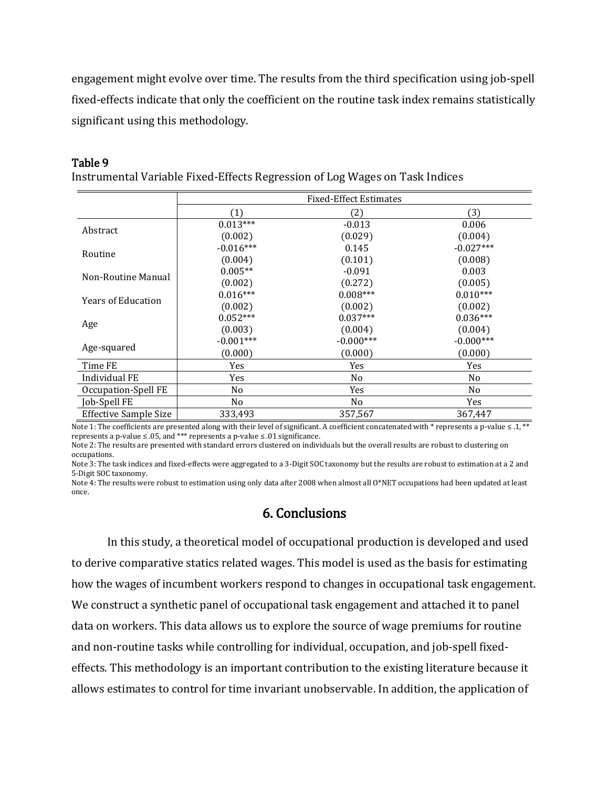engagement might evolve over time. The results from the third specification using job-spell fixed-effects indicate that only the coefficient on the routine task index remains statistically significant using this methodology.

#### Table 9

Instrumental Variable Fixed-Effects Regression of Log Wages on Task Indices

|                              | <b>Fixed-Effect Estimates</b> |             |                |
|------------------------------|-------------------------------|-------------|----------------|
|                              | (1)                           | (2)         | (3)            |
|                              | $0.013***$                    | $-0.013$    | 0.006          |
| Abstract                     | (0.002)                       | (0.029)     | (0.004)        |
| Routine                      | $-0.016***$                   | 0.145       | $-0.027***$    |
|                              | (0.004)                       | (0.101)     | (0.008)        |
| Non-Routine Manual           | $0.005**$                     | $-0.091$    | 0.003          |
|                              | (0.002)                       | (0.272)     | (0.005)        |
| <b>Years of Education</b>    | $0.016***$                    | $0.008***$  | $0.010***$     |
|                              | (0.002)                       | (0.002)     | (0.002)        |
|                              | $0.052***$                    | $0.037***$  | $0.036***$     |
| Age                          | (0.003)                       | (0.004)     | (0.004)        |
|                              | $-0.001***$                   | $-0.000***$ | $-0.000***$    |
| Age-squared                  | (0.000)                       | (0.000)     | (0.000)        |
| Time FE                      | Yes                           | Yes         | Yes            |
| Individual FE                | Yes                           | No.         | N <sub>0</sub> |
| Occupation-Spell FE          | No                            | Yes         | No             |
| Job-Spell FE                 | No.                           | No.         | Yes            |
| <b>Effective Sample Size</b> | 333,493                       | 357,567     | 367,447        |

Note 1: The coefficients are presented along with their level of significant. A coefficient concatenated with \* represents a p-value ≤ .1, \*\* represents a p-value ≤ .05, and \*\*\* represents a p-value ≤ .01 significance.

Note 2: The results are presented with standard errors clustered on individuals but the overall results are robust to clustering on occupations.

Note 3: The task indices and fixed-effects were aggregated to a 3-Digit SOC taxonomy but the results are robust to estimation at a 2 and 5-Digit SOC taxonomy.

Note 4: The results were robust to estimation using only data after 2008 when almost all O\*NET occupations had been updated at least once.

# 6. Conclusions

In this study, a theoretical model of occupational production is developed and used to derive comparative statics related wages. This model is used as the basis for estimating how the wages of incumbent workers respond to changes in occupational task engagement. We construct a synthetic panel of occupational task engagement and attached it to panel data on workers. This data allows us to explore the source of wage premiums for routine and non-routine tasks while controlling for individual, occupation, and job-spell fixedeffects. This methodology is an important contribution to the existing literature because it allows estimates to control for time invariant unobservable. In addition, the application of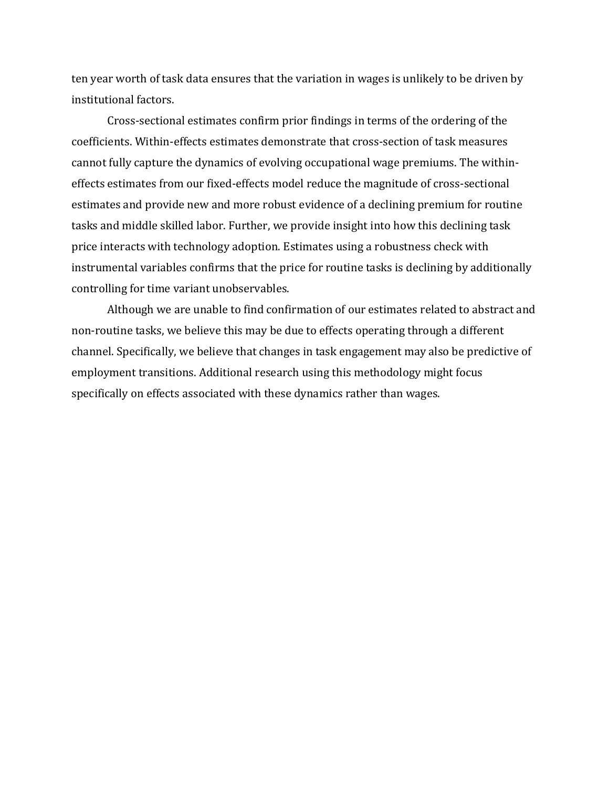ten year worth of task data ensures that the variation in wages is unlikely to be driven by institutional factors.

Cross-sectional estimates confirm prior findings in terms of the ordering of the coefficients. Within-effects estimates demonstrate that cross-section of task measures cannot fully capture the dynamics of evolving occupational wage premiums. The withineffects estimates from our fixed-effects model reduce the magnitude of cross-sectional estimates and provide new and more robust evidence of a declining premium for routine tasks and middle skilled labor. Further, we provide insight into how this declining task price interacts with technology adoption. Estimates using a robustness check with instrumental variables confirms that the price for routine tasks is declining by additionally controlling for time variant unobservables.

Although we are unable to find confirmation of our estimates related to abstract and non-routine tasks, we believe this may be due to effects operating through a different channel. Specifically, we believe that changes in task engagement may also be predictive of employment transitions. Additional research using this methodology might focus specifically on effects associated with these dynamics rather than wages.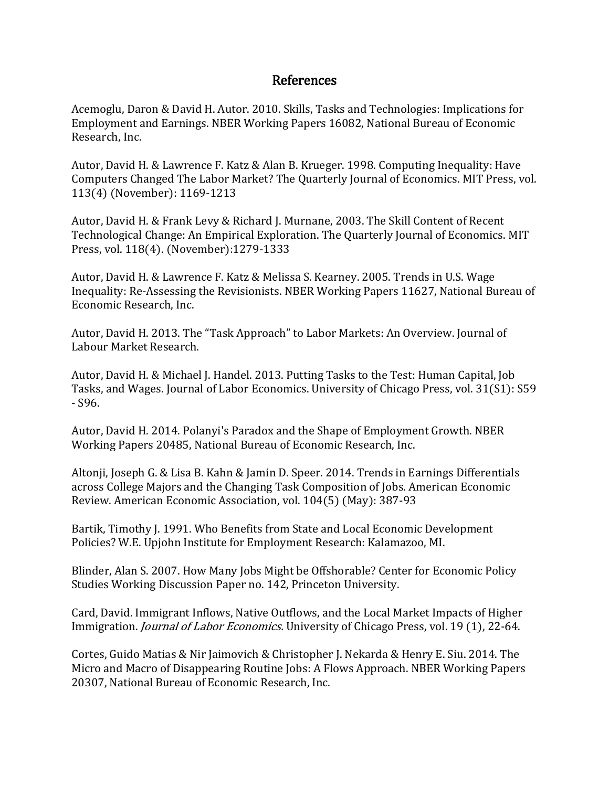# References

Acemoglu, Daron & David H. Autor. 2010. Skills, Tasks and Technologies: Implications for Employment and Earnings. NBER Working Papers 16082, National Bureau of Economic Research, Inc.

Autor, David H. & Lawrence F. Katz & Alan B. Krueger. 1998. Computing Inequality: Have Computers Changed The Labor Market? The Quarterly Journal of Economics. MIT Press, vol. 113(4) (November): 1169-1213

Autor, David H. & Frank Levy & Richard J. Murnane, 2003. The Skill Content of Recent Technological Change: An Empirical Exploration. The Quarterly Journal of Economics. MIT Press, vol. 118(4). (November):1279-1333

Autor, David H. & Lawrence F. Katz & Melissa S. Kearney. 2005. Trends in U.S. Wage Inequality: Re-Assessing the Revisionists. NBER Working Papers 11627, National Bureau of Economic Research, Inc.

Autor, David H. 2013. The "Task Approach" to Labor Markets: An Overview. Journal of Labour Market Research.

Autor, David H. & Michael J. Handel. 2013. Putting Tasks to the Test: Human Capital, Job Tasks, and Wages. Journal of Labor Economics. University of Chicago Press, vol. 31(S1): S59 - S96.

Autor, David H. 2014. Polanyi's Paradox and the Shape of Employment Growth. NBER Working Papers 20485, National Bureau of Economic Research, Inc.

Altonji, Joseph G. & Lisa B. Kahn & Jamin D. Speer. 2014. Trends in Earnings Differentials across College Majors and the Changing Task Composition of Jobs. American Economic Review. American Economic Association, vol. 104(5) (May): 387-93

Bartik, Timothy J. 1991. Who Benefits from State and Local Economic Development Policies? W.E. Upjohn Institute for Employment Research: Kalamazoo, MI.

Blinder, Alan S. 2007. How Many Jobs Might be Offshorable? Center for Economic Policy Studies Working Discussion Paper no. 142, Princeton University.

Card, David. Immigrant Inflows, Native Outflows, and the Local Market Impacts of Higher Immigration. *Journal of Labor Economics*. University of Chicago Press, vol. 19 (1), 22-64.

Cortes, Guido Matias & Nir Jaimovich & Christopher J. Nekarda & Henry E. Siu. 2014. The Micro and Macro of Disappearing Routine Jobs: A Flows Approach. NBER Working Papers 20307, National Bureau of Economic Research, Inc.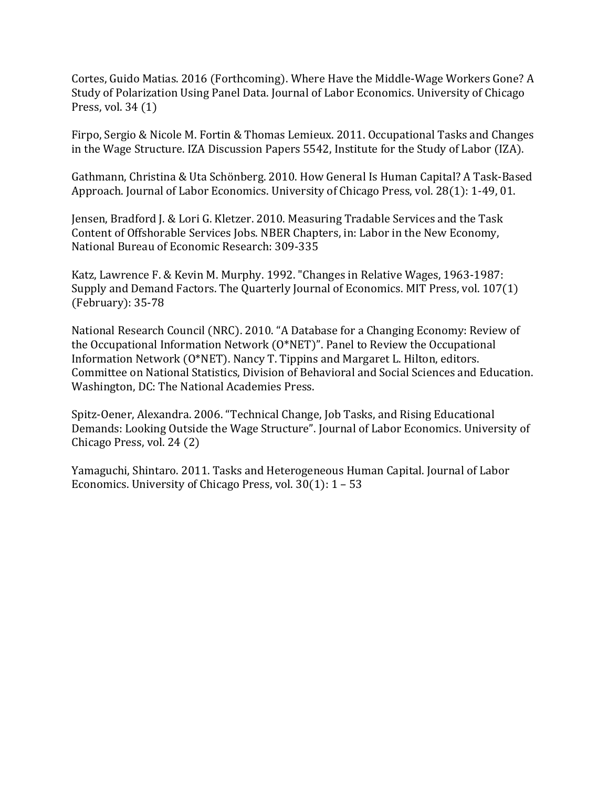Cortes, Guido Matias. 2016 (Forthcoming). Where Have the Middle-Wage Workers Gone? A Study of Polarization Using Panel Data. Journal of Labor Economics. University of Chicago Press, vol. 34 (1)

Firpo, Sergio & Nicole M. Fortin & Thomas Lemieux. 2011. Occupational Tasks and Changes in the Wage Structure. IZA Discussion Papers 5542, Institute for the Study of Labor (IZA).

Gathmann, Christina & Uta Schönberg. 2010. How General Is Human Capital? A Task-Based Approach. Journal of Labor Economics. University of Chicago Press, vol. 28(1): 1-49, 01.

Jensen, Bradford J. & Lori G. Kletzer. 2010. Measuring Tradable Services and the Task Content of Offshorable Services Jobs. NBER Chapters, in: Labor in the New Economy, National Bureau of Economic Research: 309-335

Katz, Lawrence F. & Kevin M. Murphy. 1992. "Changes in Relative Wages, 1963-1987: Supply and Demand Factors. The Quarterly Journal of Economics. MIT Press, vol. 107(1) (February): 35-78

National Research Council (NRC). 2010. "A Database for a Changing Economy: Review of the Occupational Information Network (O\*NET)". Panel to Review the Occupational Information Network (O\*NET). Nancy T. Tippins and Margaret L. Hilton, editors. Committee on National Statistics, Division of Behavioral and Social Sciences and Education. Washington, DC: The National Academies Press.

Spitz-Oener, Alexandra. 2006. "Technical Change, Job Tasks, and Rising Educational Demands: Looking Outside the Wage Structure". Journal of Labor Economics. University of Chicago Press, vol. 24 (2)

Yamaguchi, Shintaro. 2011. Tasks and Heterogeneous Human Capital. Journal of Labor Economics. University of Chicago Press, vol. 30(1): 1 – 53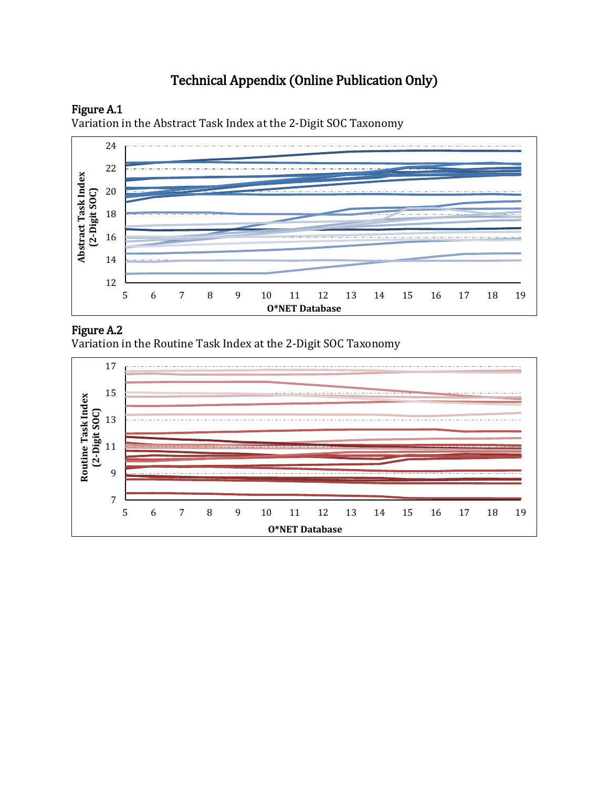# Technical Appendix (Online Publication Only)



Variation in the Abstract Task Index at the 2-Digit SOC Taxonomy



# Figure A.2

Variation in the Routine Task Index at the 2-Digit SOC Taxonomy

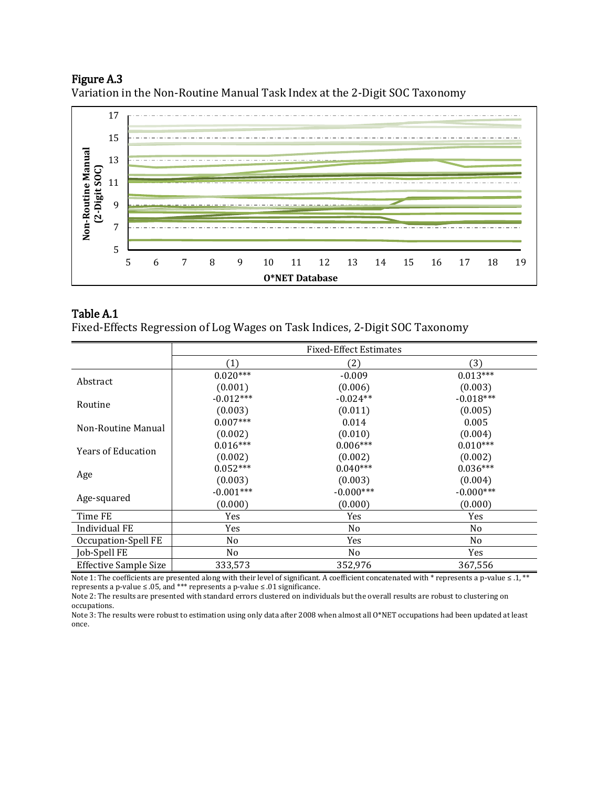# Figure A.3

Variation in the Non-Routine Manual Task Index at the 2-Digit SOC Taxonomy



## Table A.1

Fixed-Effects Regression of Log Wages on Task Indices, 2-Digit SOC Taxonomy

|                           | <b>Fixed-Effect Estimates</b> |                |                |
|---------------------------|-------------------------------|----------------|----------------|
|                           | (1)                           | (2)            | (3)            |
| Abstract                  | $0.020***$                    | $-0.009$       | $0.013***$     |
|                           | (0.001)                       | (0.006)        | (0.003)        |
| Routine                   | $-0.012***$                   | $-0.024**$     | $-0.018***$    |
|                           | (0.003)                       | (0.011)        | (0.005)        |
| Non-Routine Manual        | $0.007***$                    | 0.014          | 0.005          |
|                           | (0.002)                       | (0.010)        | (0.004)        |
| <b>Years of Education</b> | $0.016***$                    | $0.006***$     | $0.010***$     |
|                           | (0.002)                       | (0.002)        | (0.002)        |
|                           | $0.052***$                    | $0.040***$     | $0.036***$     |
| Age                       | (0.003)                       | (0.003)        | (0.004)        |
|                           | $-0.001***$                   | $-0.000***$    | $-0.000***$    |
| Age-squared               | (0.000)                       | (0.000)        | (0.000)        |
| Time FE                   | Yes                           | Yes            | Yes            |
| Individual FE             | Yes                           | No             | N <sub>0</sub> |
| Occupation-Spell FE       | No.                           | Yes            | N <sub>0</sub> |
| Job-Spell FE              | N <sub>o</sub>                | N <sub>o</sub> | Yes            |
| Effective Sample Size     | 333,573                       | 352,976        | 367,556        |

Note 1: The coefficients are presented along with their level of significant. A coefficient concatenated with \* represents a p-value ≤ .1, \*\* represents a p-value ≤ .05, and \*\*\* represents a p-value ≤ .01 significance.

Note 2: The results are presented with standard errors clustered on individuals but the overall results are robust to clustering on occupations.

Note 3: The results were robust to estimation using only data after 2008 when almost all O\*NET occupations had been updated at least once.